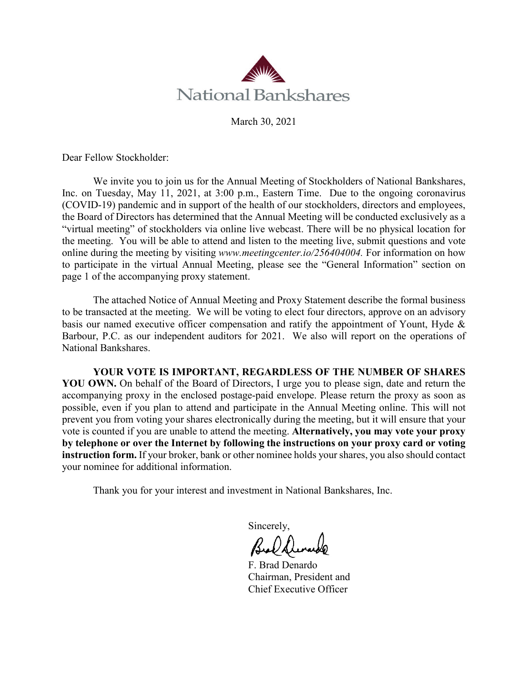

March 30, 2021

Dear Fellow Stockholder:

We invite you to join us for the Annual Meeting of Stockholders of National Bankshares, Inc. on Tuesday, May 11, 2021, at 3:00 p.m., Eastern Time. Due to the ongoing coronavirus (COVID-19) pandemic and in support of the health of our stockholders, directors and employees, the Board of Directors has determined that the Annual Meeting will be conducted exclusively as a "virtual meeting" of stockholders via online live webcast. There will be no physical location for the meeting. You will be able to attend and listen to the meeting live, submit questions and vote online during the meeting by visiting *www.meetingcenter.io/256404004.* For information on how to participate in the virtual Annual Meeting, please see the "General Information" section on page 1 of the accompanying proxy statement.

The attached Notice of Annual Meeting and Proxy Statement describe the formal business to be transacted at the meeting. We will be voting to elect four directors, approve on an advisory basis our named executive officer compensation and ratify the appointment of Yount, Hyde & Barbour, P.C. as our independent auditors for 2021. We also will report on the operations of National Bankshares.

**YOUR VOTE IS IMPORTANT, REGARDLESS OF THE NUMBER OF SHARES YOU OWN.** On behalf of the Board of Directors, I urge you to please sign, date and return the accompanying proxy in the enclosed postage-paid envelope. Please return the proxy as soon as possible, even if you plan to attend and participate in the Annual Meeting online. This will not prevent you from voting your shares electronically during the meeting, but it will ensure that your vote is counted if you are unable to attend the meeting. **Alternatively, you may vote your proxy by telephone or over the Internet by following the instructions on your proxy card or voting instruction form.** If your broker, bank or other nominee holds your shares, you also should contact your nominee for additional information.

Thank you for your interest and investment in National Bankshares, Inc.

Sincerely,

F. Brad Denardo Chairman, President and Chief Executive Officer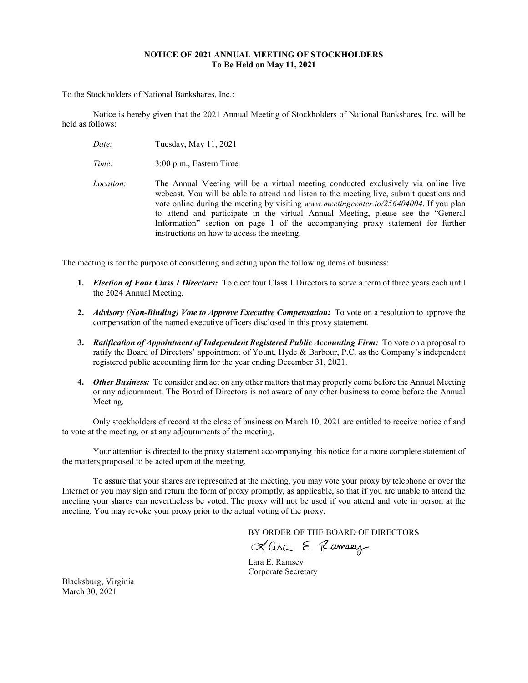# **NOTICE OF 2021 ANNUAL MEETING OF STOCKHOLDERS To Be Held on May 11, 2021**

To the Stockholders of National Bankshares, Inc.:

Notice is hereby given that the 2021 Annual Meeting of Stockholders of National Bankshares, Inc. will be held as follows:

*Date:* Tuesday, May 11, 2021

*Time:* 3:00 p.m., Eastern Time

*Location:* The Annual Meeting will be a virtual meeting conducted exclusively via online live webcast. You will be able to attend and listen to the meeting live, submit questions and vote online during the meeting by visiting *www.meetingcenter.io/256404004*. If you plan to attend and participate in the virtual Annual Meeting, please see the "General Information" section on page 1 of the accompanying proxy statement for further instructions on how to access the meeting.

The meeting is for the purpose of considering and acting upon the following items of business:

- **1.** *Election of Four Class 1 Directors:* To elect four Class 1 Directors to serve a term of three years each until the 2024 Annual Meeting.
- **2.** *Advisory (Non-Binding) Vote to Approve Executive Compensation:* To vote on a resolution to approve the compensation of the named executive officers disclosed in this proxy statement.
- **3.** *Ratification of Appointment of Independent Registered Public Accounting Firm:* To vote on a proposal to ratify the Board of Directors' appointment of Yount, Hyde & Barbour, P.C. as the Company's independent registered public accounting firm for the year ending December 31, 2021.
- **4.** *Other Business:* To consider and act on any other matters that may properly come before the Annual Meeting or any adjournment. The Board of Directors is not aware of any other business to come before the Annual Meeting.

Only stockholders of record at the close of business on March 10, 2021 are entitled to receive notice of and to vote at the meeting, or at any adjournments of the meeting.

Your attention is directed to the proxy statement accompanying this notice for a more complete statement of the matters proposed to be acted upon at the meeting.

To assure that your shares are represented at the meeting, you may vote your proxy by telephone or over the Internet or you may sign and return the form of proxy promptly, as applicable, so that if you are unable to attend the meeting your shares can nevertheless be voted. The proxy will not be used if you attend and vote in person at the meeting. You may revoke your proxy prior to the actual voting of the proxy.

BY ORDER OF THE BOARD OF DIRECTORS<br> $X$  Corc  $\Sigma$  *(Compary*)

Lara E. Ramsey Corporate Secretary

Blacksburg, Virginia March 30, 2021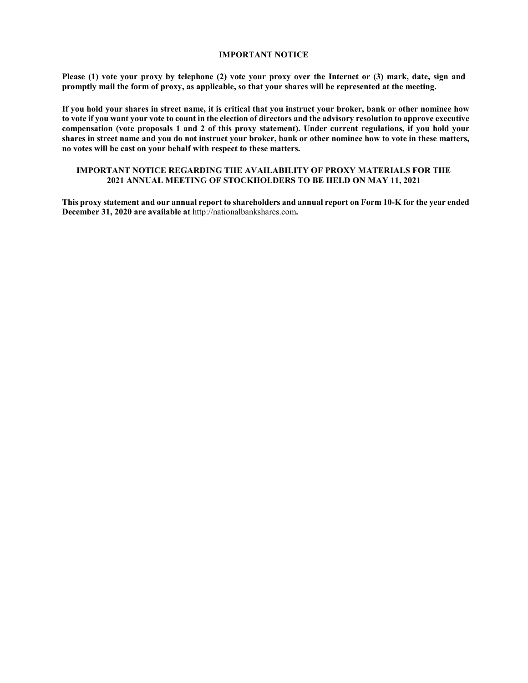## **IMPORTANT NOTICE**

**Please (1) vote your proxy by telephone (2) vote your proxy over the Internet or (3) mark, date, sign and promptly mail the form of proxy, as applicable, so that your shares will be represented at the meeting.**

**If you hold your shares in street name, it is critical that you instruct your broker, bank or other nominee how to vote if you want your vote to count in the election of directors and the advisory resolution to approve executive compensation (vote proposals 1 and 2 of this proxy statement). Under current regulations, if you hold your shares in street name and you do not instruct your broker, bank or other nominee how to vote in these matters, no votes will be cast on your behalf with respect to these matters.** 

# **IMPORTANT NOTICE REGARDING THE AVAILABILITY OF PROXY MATERIALS FOR THE 2021 ANNUAL MEETING OF STOCKHOLDERS TO BE HELD ON MAY 11, 2021**

**This proxy statement and our annual report to shareholders and annual report on Form 10-K for the year ended December 31, 2020 are available at** [http://nationalbankshares.com](http://nationalbankshares.com/)**.**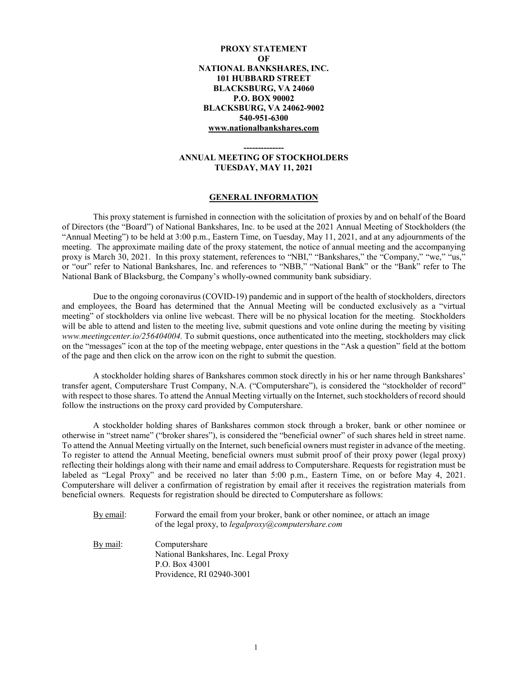# **PROXY STATEMENT OF NATIONAL BANKSHARES, INC. 101 HUBBARD STREET BLACKSBURG, VA 24060 P.O. BOX 90002 BLACKSBURG, VA 24062-9002 540-951-6300 [www.nationalbankshares.com](http://www.nationalbankshares.com/)**

# **-------------- ANNUAL MEETING OF STOCKHOLDERS TUESDAY, MAY 11, 2021**

#### **GENERAL INFORMATION**

This proxy statement is furnished in connection with the solicitation of proxies by and on behalf of the Board of Directors (the "Board") of National Bankshares, Inc. to be used at the 2021 Annual Meeting of Stockholders (the "Annual Meeting") to be held at 3:00 p.m., Eastern Time, on Tuesday, May 11, 2021, and at any adjournments of the meeting. The approximate mailing date of the proxy statement, the notice of annual meeting and the accompanying proxy is March 30, 2021. In this proxy statement, references to "NBI," "Bankshares," the "Company," "we," "us," or "our" refer to National Bankshares, Inc. and references to "NBB," "National Bank" or the "Bank" refer to The National Bank of Blacksburg, the Company's wholly-owned community bank subsidiary.

Due to the ongoing coronavirus (COVID-19) pandemic and in support of the health of stockholders, directors and employees, the Board has determined that the Annual Meeting will be conducted exclusively as a "virtual meeting" of stockholders via online live webcast. There will be no physical location for the meeting. Stockholders will be able to attend and listen to the meeting live, submit questions and vote online during the meeting by visiting *www.meetingcenter.io/256404004.* To submit questions, once authenticated into the meeting, stockholders may click on the "messages" icon at the top of the meeting webpage, enter questions in the "Ask a question" field at the bottom of the page and then click on the arrow icon on the right to submit the question.

A stockholder holding shares of Bankshares common stock directly in his or her name through Bankshares' transfer agent, Computershare Trust Company, N.A. ("Computershare"), is considered the "stockholder of record" with respect to those shares. To attend the Annual Meeting virtually on the Internet, such stockholders of record should follow the instructions on the proxy card provided by Computershare.

A stockholder holding shares of Bankshares common stock through a broker, bank or other nominee or otherwise in "street name" ("broker shares"), is considered the "beneficial owner" of such shares held in street name. To attend the Annual Meeting virtually on the Internet, such beneficial owners must register in advance of the meeting. To register to attend the Annual Meeting, beneficial owners must submit proof of their proxy power (legal proxy) reflecting their holdings along with their name and email address to Computershare. Requests for registration must be labeled as "Legal Proxy" and be received no later than 5:00 p.m., Eastern Time, on or before May 4, 2021. Computershare will deliver a confirmation of registration by email after it receives the registration materials from beneficial owners. Requests for registration should be directed to Computershare as follows:

- By email: Forward the email from your broker, bank or other nominee, or attach an image of the legal proxy, to *[legalproxy@computershare.com](mailto:legalproxy@computershare.com)*
- By mail: Computershare National Bankshares, Inc. Legal Proxy P.O. Box 43001 Providence, RI 02940-3001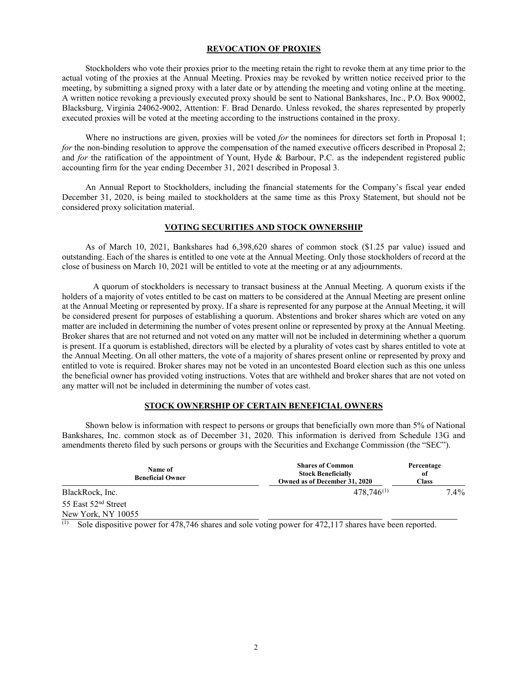# **REVOCATION OF PROXIES**

Stockholders who vote their proxies prior to the meeting retain the right to revoke them at any time prior to the actual voting of the proxies at the Annual Meeting. Proxies may be revoked by written notice received prior to the meeting, by submitting a signed proxy with a later date or by attending the meeting and voting online at the meeting. A written notice revoking a previously executed proxy should be sent to National Bankshares, Inc., P.O. Box 90002, Blacksburg, Virginia 24062-9002, Attention: F. Brad Denardo. Unless revoked, the shares represented by properly executed proxies will be voted at the meeting according to the instructions contained in the proxy.

Where no instructions are given, proxies will be voted *for* the nominees for directors set forth in Proposal 1; *for* the non-binding resolution to approve the compensation of the named executive officers described in Proposal 2; and *for* the ratification of the appointment of Yount, Hyde & Barbour, P.C. as the independent registered public accounting firm for the year ending December 31, 2021 described in Proposal 3.

An Annual Report to Stockholders, including the financial statements for the Company's fiscal year ended December 31, 2020, is being mailed to stockholders at the same time as this Proxy Statement, but should not be considered proxy solicitation material.

### **VOTING SECURITIES AND STOCK OWNERSHIP**

As of March 10, 2021, Bankshares had 6,398,620 shares of common stock (\$1.25 par value) issued and outstanding. Each of the shares is entitled to one vote at the Annual Meeting. Only those stockholders of record at the close of business on March 10, 2021 will be entitled to vote at the meeting or at any adjournments.

A quorum of stockholders is necessary to transact business at the Annual Meeting. A quorum exists if the holders of a majority of votes entitled to be cast on matters to be considered at the Annual Meeting are present online at the Annual Meeting or represented by proxy. If a share is represented for any purpose at the Annual Meeting, it will be considered present for purposes of establishing a quorum. Abstentions and broker shares which are voted on any matter are included in determining the number of votes present online or represented by proxy at the Annual Meeting. Broker shares that are not returned and not voted on any matter will not be included in determining whether a quorum is present. If a quorum is established, directors will be elected by a plurality of votes cast by shares entitled to vote at the Annual Meeting. On all other matters, the vote of a majority of shares present online or represented by proxy and entitled to vote is required. Broker shares may not be voted in an uncontested Board election such as this one unless the beneficial owner has provided voting instructions. Votes that are withheld and broker shares that are not voted on any matter will not be included in determining the number of votes cast.

# **STOCK OWNERSHIP OF CERTAIN BENEFICIAL OWNERS**

Shown below is information with respect to persons or groups that beneficially own more than 5% of National Bankshares, Inc. common stock as of December 31, 2020. This information is derived from Schedule 13G and amendments thereto filed by such persons or groups with the Securities and Exchange Commission (the "SEC").

| Name of<br><b>Beneficial Owner</b> | <b>Shares of Common</b><br><b>Stock Beneficially</b><br>Owned as of December 31, 2020 | Percentage<br>of<br><b>Class</b> |  |  |
|------------------------------------|---------------------------------------------------------------------------------------|----------------------------------|--|--|
| BlackRock, Inc.                    | $478,746^{(1)}$                                                                       | 7.4%                             |  |  |
| 55 East 52 <sup>nd</sup> Street    |                                                                                       |                                  |  |  |
| New York, NY 10055                 |                                                                                       |                                  |  |  |

(1) Sole dispositive power for 478,746 shares and sole voting power for 472,117 shares have been reported.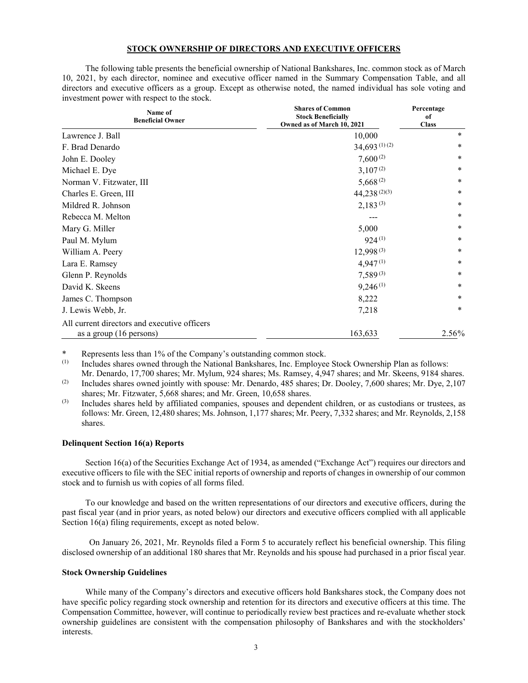# **STOCK OWNERSHIP OF DIRECTORS AND EXECUTIVE OFFICERS**

The following table presents the beneficial ownership of National Bankshares, Inc. common stock as of March 10, 2021, by each director, nominee and executive officer named in the Summary Compensation Table, and all directors and executive officers as a group. Except as otherwise noted, the named individual has sole voting and investment power with respect to the stock.

| Name of<br><b>Beneficial Owner</b>           | <b>Shares of Common</b><br><b>Stock Beneficially</b><br>Owned as of March 10, 2021 | Percentage<br>of<br><b>Class</b> |
|----------------------------------------------|------------------------------------------------------------------------------------|----------------------------------|
| Lawrence J. Ball                             | 10,000                                                                             | $\ast$                           |
| F. Brad Denardo                              | $34,693$ <sup>(1)</sup> (2)                                                        | $\ast$                           |
| John E. Dooley                               | $7,600^{(2)}$                                                                      | *                                |
| Michael E. Dye                               | $3,107^{(2)}$                                                                      | *                                |
| Norman V. Fitzwater, III                     | $5,668^{(2)}$                                                                      | $\ast$                           |
| Charles E. Green, III                        | $44,238^{(2)(3)}$                                                                  | *                                |
| Mildred R. Johnson                           | $2,183^{(3)}$                                                                      | $\ast$                           |
| Rebecca M. Melton                            |                                                                                    | $\ast$                           |
| Mary G. Miller                               | 5,000                                                                              | *                                |
| Paul M. Mylum                                | $924^{(1)}$                                                                        | $\ast$                           |
| William A. Peery                             | $12,998^{(3)}$                                                                     | $\ast$                           |
| Lara E. Ramsey                               | $4,947^{(1)}$                                                                      | $\ast$                           |
| Glenn P. Reynolds                            | $7,589^{(3)}$                                                                      | *                                |
| David K. Skeens                              | $9,246^{(1)}$                                                                      | *                                |
| James C. Thompson                            | 8,222                                                                              | *                                |
| J. Lewis Webb, Jr.                           | 7,218                                                                              | *                                |
| All current directors and executive officers |                                                                                    |                                  |
| as a group (16 persons)                      | 163,633                                                                            | 2.56%                            |

\* Represents less than 1% of the Company's outstanding common stock.<br>(1) Includes shares owned through the National Bankshares. Inc. Employee

Includes shares owned through the National Bankshares, Inc. Employee Stock Ownership Plan as follows: Mr. Denardo, 17,700 shares; Mr. Mylum, 924 shares; Ms. Ramsey, 4,947 shares; and Mr. Skeens, 9184 shares.

(2) Includes shares owned jointly with spouse: Mr. Denardo, 485 shares; Dr. Dooley, 7,600 shares; Mr. Dye, 2,107 shares; Mr. Fitzwater, 5,668 shares; and Mr. Green, 10,658 shares.

(3) Includes shares held by affiliated companies, spouses and dependent children, or as custodians or trustees, as follows: Mr. Green, 12,480 shares; Ms. Johnson, 1,177 shares; Mr. Peery, 7,332 shares; and Mr. Reynolds, 2,158 shares.

### **Delinquent Section 16(a) Reports**

Section 16(a) of the Securities Exchange Act of 1934, as amended ("Exchange Act") requires our directors and executive officers to file with the SEC initial reports of ownership and reports of changes in ownership of our common stock and to furnish us with copies of all forms filed.

To our knowledge and based on the written representations of our directors and executive officers, during the past fiscal year (and in prior years, as noted below) our directors and executive officers complied with all applicable Section 16(a) filing requirements, except as noted below.

On January 26, 2021, Mr. Reynolds filed a Form 5 to accurately reflect his beneficial ownership. This filing disclosed ownership of an additional 180 shares that Mr. Reynolds and his spouse had purchased in a prior fiscal year.

#### **Stock Ownership Guidelines**

While many of the Company's directors and executive officers hold Bankshares stock, the Company does not have specific policy regarding stock ownership and retention for its directors and executive officers at this time. The Compensation Committee, however, will continue to periodically review best practices and re-evaluate whether stock ownership guidelines are consistent with the compensation philosophy of Bankshares and with the stockholders' interests.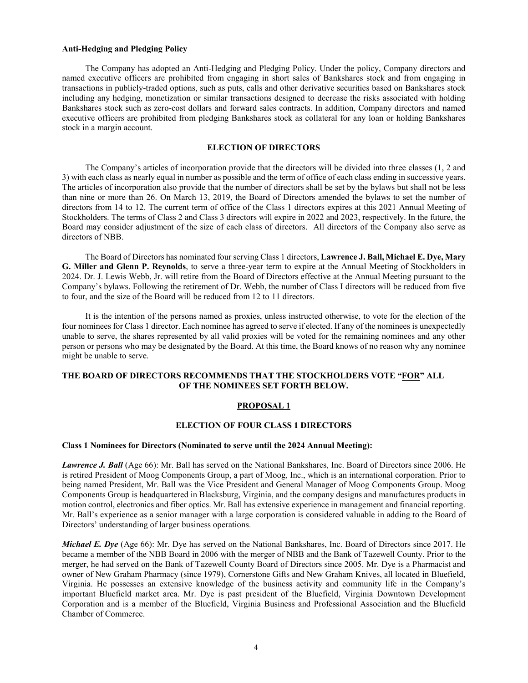# **Anti-Hedging and Pledging Policy**

The Company has adopted an Anti-Hedging and Pledging Policy. Under the policy, Company directors and named executive officers are prohibited from engaging in short sales of Bankshares stock and from engaging in transactions in publicly-traded options, such as puts, calls and other derivative securities based on Bankshares stock including any hedging, monetization or similar transactions designed to decrease the risks associated with holding Bankshares stock such as zero-cost dollars and forward sales contracts. In addition, Company directors and named executive officers are prohibited from pledging Bankshares stock as collateral for any loan or holding Bankshares stock in a margin account.

## **ELECTION OF DIRECTORS**

The Company's articles of incorporation provide that the directors will be divided into three classes (1, 2 and 3) with each class as nearly equal in number as possible and the term of office of each class ending in successive years. The articles of incorporation also provide that the number of directors shall be set by the bylaws but shall not be less than nine or more than 26. On March 13, 2019, the Board of Directors amended the bylaws to set the number of directors from 14 to 12. The current term of office of the Class 1 directors expires at this 2021 Annual Meeting of Stockholders. The terms of Class 2 and Class 3 directors will expire in 2022 and 2023, respectively. In the future, the Board may consider adjustment of the size of each class of directors. All directors of the Company also serve as directors of NBB.

The Board of Directors has nominated four serving Class 1 directors, **Lawrence J. Ball, Michael E. Dye, Mary G. Miller and Glenn P. Reynolds**, to serve a three-year term to expire at the Annual Meeting of Stockholders in 2024. Dr. J. Lewis Webb, Jr. will retire from the Board of Directors effective at the Annual Meeting pursuant to the Company's bylaws. Following the retirement of Dr. Webb, the number of Class I directors will be reduced from five to four, and the size of the Board will be reduced from 12 to 11 directors.

It is the intention of the persons named as proxies, unless instructed otherwise, to vote for the election of the four nominees for Class 1 director. Each nominee has agreed to serve if elected. If any of the nominees is unexpectedly unable to serve, the shares represented by all valid proxies will be voted for the remaining nominees and any other person or persons who may be designated by the Board. At this time, the Board knows of no reason why any nominee might be unable to serve.

## **THE BOARD OF DIRECTORS RECOMMENDS THAT THE STOCKHOLDERS VOTE "FOR" ALL OF THE NOMINEES SET FORTH BELOW.**

#### **PROPOSAL 1**

### **ELECTION OF FOUR CLASS 1 DIRECTORS**

### **Class 1 Nominees for Directors (Nominated to serve until the 2024 Annual Meeting):**

*Lawrence J. Ball* (Age 66): Mr. Ball has served on the National Bankshares, Inc. Board of Directors since 2006. He is retired President of Moog Components Group, a part of Moog, Inc., which is an international corporation. Prior to being named President, Mr. Ball was the Vice President and General Manager of Moog Components Group. Moog Components Group is headquartered in Blacksburg, Virginia, and the company designs and manufactures products in motion control, electronics and fiber optics. Mr. Ball has extensive experience in management and financial reporting. Mr. Ball's experience as a senior manager with a large corporation is considered valuable in adding to the Board of Directors' understanding of larger business operations.

*Michael E. Dye* (Age 66): Mr. Dye has served on the National Bankshares, Inc. Board of Directors since 2017. He became a member of the NBB Board in 2006 with the merger of NBB and the Bank of Tazewell County. Prior to the merger, he had served on the Bank of Tazewell County Board of Directors since 2005. Mr. Dye is a Pharmacist and owner of New Graham Pharmacy (since 1979), Cornerstone Gifts and New Graham Knives, all located in Bluefield, Virginia. He possesses an extensive knowledge of the business activity and community life in the Company's important Bluefield market area. Mr. Dye is past president of the Bluefield, Virginia Downtown Development Corporation and is a member of the Bluefield, Virginia Business and Professional Association and the Bluefield Chamber of Commerce.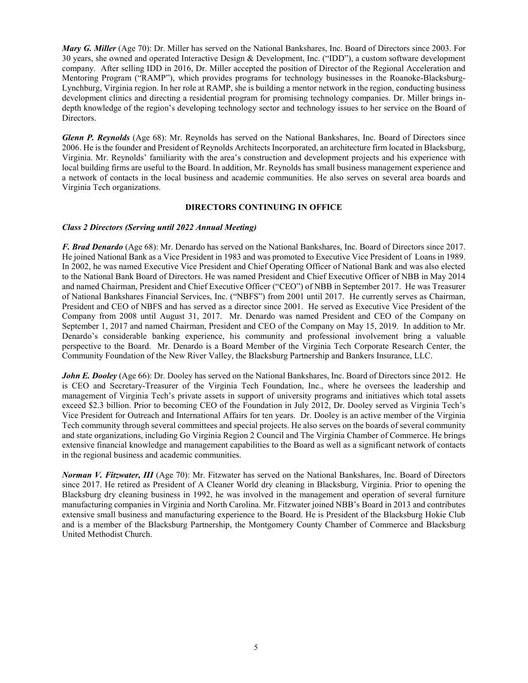*Mary G. Miller* (Age 70): Dr. Miller has served on the National Bankshares, Inc. Board of Directors since 2003. For 30 years, she owned and operated Interactive Design & Development, Inc. ("IDD"), a custom software development company. After selling IDD in 2016, Dr. Miller accepted the position of Director of the Regional Acceleration and Mentoring Program ("RAMP"), which provides programs for technology businesses in the Roanoke-Blacksburg-Lynchburg, Virginia region. In her role at RAMP, she is building a mentor network in the region, conducting business development clinics and directing a residential program for promising technology companies. Dr. Miller brings indepth knowledge of the region's developing technology sector and technology issues to her service on the Board of Directors.

*Glenn P. Reynolds* (Age 68): Mr. Reynolds has served on the National Bankshares, Inc. Board of Directors since 2006. He is the founder and President of Reynolds Architects Incorporated, an architecture firm located in Blacksburg, Virginia. Mr. Reynolds' familiarity with the area's construction and development projects and his experience with local building firms are useful to the Board. In addition, Mr. Reynolds has small business management experience and a network of contacts in the local business and academic communities. He also serves on several area boards and Virginia Tech organizations.

### **DIRECTORS CONTINUING IN OFFICE**

# *Class 2 Directors (Serving until 2022 Annual Meeting)*

*F. Brad Denardo* (Age 68): Mr. Denardo has served on the National Bankshares, Inc. Board of Directors since 2017. He joined National Bank as a Vice President in 1983 and was promoted to Executive Vice President of Loans in 1989. In 2002, he was named Executive Vice President and Chief Operating Officer of National Bank and was also elected to the National Bank Board of Directors. He was named President and Chief Executive Officer of NBB in May 2014 and named Chairman, President and Chief Executive Officer ("CEO") of NBB in September 2017. He was Treasurer of National Bankshares Financial Services, Inc. ("NBFS") from 2001 until 2017. He currently serves as Chairman, President and CEO of NBFS and has served as a director since 2001. He served as Executive Vice President of the Company from 2008 until August 31, 2017. Mr. Denardo was named President and CEO of the Company on September 1, 2017 and named Chairman, President and CEO of the Company on May 15, 2019. In addition to Mr. Denardo's considerable banking experience, his community and professional involvement bring a valuable perspective to the Board. Mr. Denardo is a Board Member of the Virginia Tech Corporate Research Center, the Community Foundation of the New River Valley, the Blacksburg Partnership and Bankers Insurance, LLC.

*John E. Dooley* (Age 66): Dr. Dooley has served on the National Bankshares, Inc. Board of Directors since 2012. He is CEO and Secretary-Treasurer of the Virginia Tech Foundation, Inc., where he oversees the leadership and management of Virginia Tech's private assets in support of university programs and initiatives which total assets exceed \$2.3 billion. Prior to becoming CEO of the Foundation in July 2012, Dr. Dooley served as Virginia Tech's Vice President for Outreach and International Affairs for ten years. Dr. Dooley is an active member of the Virginia Tech community through several committees and special projects. He also serves on the boards of several community and state organizations, including Go Virginia Region 2 Council and The Virginia Chamber of Commerce. He brings extensive financial knowledge and management capabilities to the Board as well as a significant network of contacts in the regional business and academic communities.

*Norman V. Fitzwater, III* (Age 70): Mr. Fitzwater has served on the National Bankshares, Inc. Board of Directors since 2017. He retired as President of A Cleaner World dry cleaning in Blacksburg, Virginia. Prior to opening the Blacksburg dry cleaning business in 1992, he was involved in the management and operation of several furniture manufacturing companies in Virginia and North Carolina. Mr. Fitzwater joined NBB's Board in 2013 and contributes extensive small business and manufacturing experience to the Board. He is President of the Blacksburg Hokie Club and is a member of the Blacksburg Partnership, the Montgomery County Chamber of Commerce and Blacksburg United Methodist Church.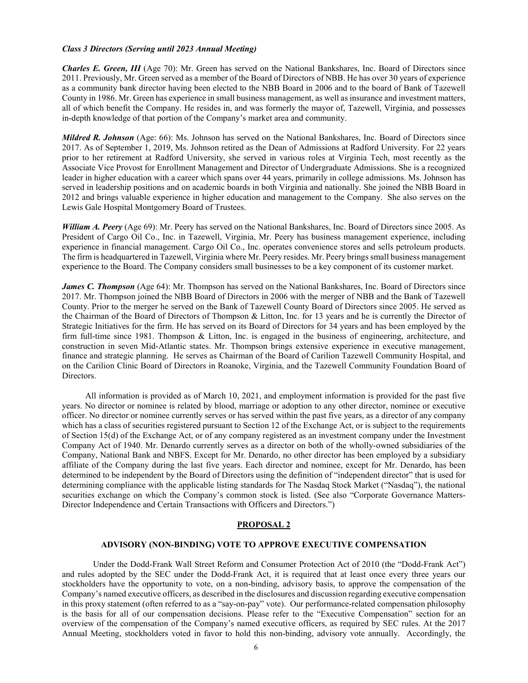### *Class 3 Directors (Serving until 2023 Annual Meeting)*

*Charles E. Green, III* (Age 70): Mr. Green has served on the National Bankshares, Inc. Board of Directors since 2011. Previously, Mr. Green served as a member of the Board of Directors of NBB. He has over 30 years of experience as a community bank director having been elected to the NBB Board in 2006 and to the board of Bank of Tazewell County in 1986. Mr. Green has experience in small business management, as well as insurance and investment matters, all of which benefit the Company. He resides in, and was formerly the mayor of, Tazewell, Virginia, and possesses in-depth knowledge of that portion of the Company's market area and community.

*Mildred R. Johnson* (Age: 66): Ms. Johnson has served on the National Bankshares, Inc. Board of Directors since 2017. As of September 1, 2019, Ms. Johnson retired as the Dean of Admissions at Radford University. For 22 years prior to her retirement at Radford University, she served in various roles at Virginia Tech, most recently as the Associate Vice Provost for Enrollment Management and Director of Undergraduate Admissions. She is a recognized leader in higher education with a career which spans over 44 years, primarily in college admissions. Ms. Johnson has served in leadership positions and on academic boards in both Virginia and nationally. She joined the NBB Board in 2012 and brings valuable experience in higher education and management to the Company. She also serves on the Lewis Gale Hospital Montgomery Board of Trustees.

*William A. Peery* (Age 69): Mr. Peery has served on the National Bankshares, Inc. Board of Directors since 2005. As President of Cargo Oil Co., Inc. in Tazewell, Virginia, Mr. Peery has business management experience, including experience in financial management. Cargo Oil Co., Inc. operates convenience stores and sells petroleum products. The firm is headquartered in Tazewell, Virginia where Mr. Peery resides. Mr. Peery brings small business management experience to the Board. The Company considers small businesses to be a key component of its customer market.

*James C. Thompson* (Age 64): Mr. Thompson has served on the National Bankshares, Inc. Board of Directors since 2017. Mr. Thompson joined the NBB Board of Directors in 2006 with the merger of NBB and the Bank of Tazewell County. Prior to the merger he served on the Bank of Tazewell County Board of Directors since 2005. He served as the Chairman of the Board of Directors of Thompson & Litton, Inc. for 13 years and he is currently the Director of Strategic Initiatives for the firm. He has served on its Board of Directors for 34 years and has been employed by the firm full-time since 1981. Thompson & Litton, Inc. is engaged in the business of engineering, architecture, and construction in seven Mid-Atlantic states. Mr. Thompson brings extensive experience in executive management, finance and strategic planning. He serves as Chairman of the Board of Carilion Tazewell Community Hospital, and on the Carilion Clinic Board of Directors in Roanoke, Virginia, and the Tazewell Community Foundation Board of Directors.

All information is provided as of March 10, 2021, and employment information is provided for the past five years. No director or nominee is related by blood, marriage or adoption to any other director, nominee or executive officer. No director or nominee currently serves or has served within the past five years, as a director of any company which has a class of securities registered pursuant to Section 12 of the Exchange Act, or is subject to the requirements of Section 15(d) of the Exchange Act, or of any company registered as an investment company under the Investment Company Act of 1940. Mr. Denardo currently serves as a director on both of the wholly-owned subsidiaries of the Company, National Bank and NBFS. Except for Mr. Denardo, no other director has been employed by a subsidiary affiliate of the Company during the last five years. Each director and nominee, except for Mr. Denardo, has been determined to be independent by the Board of Directors using the definition of "independent director" that is used for determining compliance with the applicable listing standards for The Nasdaq Stock Market ("Nasdaq"), the national securities exchange on which the Company's common stock is listed. (See also "Corporate Governance Matters-Director Independence and Certain Transactions with Officers and Directors.")

#### **PROPOSAL 2**

#### **ADVISORY (NON-BINDING) VOTE TO APPROVE EXECUTIVE COMPENSATION**

Under the Dodd-Frank Wall Street Reform and Consumer Protection Act of 2010 (the "Dodd-Frank Act") and rules adopted by the SEC under the Dodd-Frank Act, it is required that at least once every three years our stockholders have the opportunity to vote, on a non-binding, advisory basis, to approve the compensation of the Company's named executive officers, as described in the disclosures and discussion regarding executive compensation in this proxy statement (often referred to as a "say-on-pay" vote). Our performance-related compensation philosophy is the basis for all of our compensation decisions. Please refer to the "Executive Compensation" section for an overview of the compensation of the Company's named executive officers, as required by SEC rules. At the 2017 Annual Meeting, stockholders voted in favor to hold this non-binding, advisory vote annually. Accordingly, the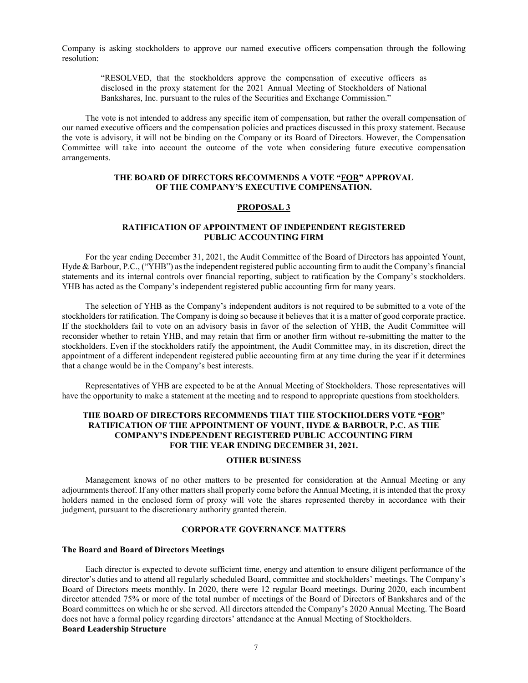Company is asking stockholders to approve our named executive officers compensation through the following resolution:

"RESOLVED, that the stockholders approve the compensation of executive officers as disclosed in the proxy statement for the 2021 Annual Meeting of Stockholders of National Bankshares, Inc. pursuant to the rules of the Securities and Exchange Commission."

The vote is not intended to address any specific item of compensation, but rather the overall compensation of our named executive officers and the compensation policies and practices discussed in this proxy statement. Because the vote is advisory, it will not be binding on the Company or its Board of Directors. However, the Compensation Committee will take into account the outcome of the vote when considering future executive compensation arrangements.

# **THE BOARD OF DIRECTORS RECOMMENDS A VOTE "FOR" APPROVAL OF THE COMPANY'S EXECUTIVE COMPENSATION.**

### **PROPOSAL 3**

# **RATIFICATION OF APPOINTMENT OF INDEPENDENT REGISTERED PUBLIC ACCOUNTING FIRM**

For the year ending December 31, 2021, the Audit Committee of the Board of Directors has appointed Yount, Hyde & Barbour, P.C., ("YHB") as the independent registered public accounting firm to audit the Company's financial statements and its internal controls over financial reporting, subject to ratification by the Company's stockholders. YHB has acted as the Company's independent registered public accounting firm for many years.

The selection of YHB as the Company's independent auditors is not required to be submitted to a vote of the stockholders for ratification. The Company is doing so because it believes that it is a matter of good corporate practice. If the stockholders fail to vote on an advisory basis in favor of the selection of YHB, the Audit Committee will reconsider whether to retain YHB, and may retain that firm or another firm without re-submitting the matter to the stockholders. Even if the stockholders ratify the appointment, the Audit Committee may, in its discretion, direct the appointment of a different independent registered public accounting firm at any time during the year if it determines that a change would be in the Company's best interests.

Representatives of YHB are expected to be at the Annual Meeting of Stockholders. Those representatives will have the opportunity to make a statement at the meeting and to respond to appropriate questions from stockholders.

# **THE BOARD OF DIRECTORS RECOMMENDS THAT THE STOCKHOLDERS VOTE "FOR" RATIFICATION OF THE APPOINTMENT OF YOUNT, HYDE & BARBOUR, P.C. AS THE COMPANY'S INDEPENDENT REGISTERED PUBLIC ACCOUNTING FIRM FOR THE YEAR ENDING DECEMBER 31, 2021.**

# **OTHER BUSINESS**

Management knows of no other matters to be presented for consideration at the Annual Meeting or any adjournments thereof. If any other matters shall properly come before the Annual Meeting, it is intended that the proxy holders named in the enclosed form of proxy will vote the shares represented thereby in accordance with their judgment, pursuant to the discretionary authority granted therein.

### **CORPORATE GOVERNANCE MATTERS**

### **The Board and Board of Directors Meetings**

Each director is expected to devote sufficient time, energy and attention to ensure diligent performance of the director's duties and to attend all regularly scheduled Board, committee and stockholders' meetings. The Company's Board of Directors meets monthly. In 2020, there were 12 regular Board meetings. During 2020, each incumbent director attended 75% or more of the total number of meetings of the Board of Directors of Bankshares and of the Board committees on which he or she served. All directors attended the Company's 2020 Annual Meeting. The Board does not have a formal policy regarding directors' attendance at the Annual Meeting of Stockholders. **Board Leadership Structure**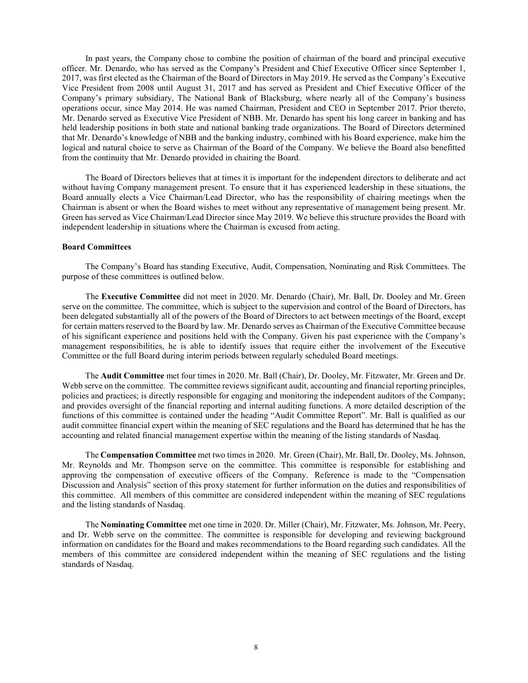In past years, the Company chose to combine the position of chairman of the board and principal executive officer. Mr. Denardo, who has served as the Company's President and Chief Executive Officer since September 1, 2017, was first elected as the Chairman of the Board of Directors in May 2019. He served as the Company's Executive Vice President from 2008 until August 31, 2017 and has served as President and Chief Executive Officer of the Company's primary subsidiary, The National Bank of Blacksburg, where nearly all of the Company's business operations occur, since May 2014. He was named Chairman, President and CEO in September 2017. Prior thereto, Mr. Denardo served as Executive Vice President of NBB. Mr. Denardo has spent his long career in banking and has held leadership positions in both state and national banking trade organizations. The Board of Directors determined that Mr. Denardo's knowledge of NBB and the banking industry, combined with his Board experience, make him the logical and natural choice to serve as Chairman of the Board of the Company. We believe the Board also benefitted from the continuity that Mr. Denardo provided in chairing the Board.

The Board of Directors believes that at times it is important for the independent directors to deliberate and act without having Company management present. To ensure that it has experienced leadership in these situations, the Board annually elects a Vice Chairman/Lead Director, who has the responsibility of chairing meetings when the Chairman is absent or when the Board wishes to meet without any representative of management being present. Mr. Green has served as Vice Chairman/Lead Director since May 2019. We believe this structure provides the Board with independent leadership in situations where the Chairman is excused from acting.

### **Board Committees**

The Company's Board has standing Executive, Audit, Compensation, Nominating and Risk Committees. The purpose of these committees is outlined below.

The **Executive Committee** did not meet in 2020. Mr. Denardo (Chair), Mr. Ball, Dr. Dooley and Mr. Green serve on the committee. The committee, which is subject to the supervision and control of the Board of Directors, has been delegated substantially all of the powers of the Board of Directors to act between meetings of the Board, except for certain matters reserved to the Board by law. Mr. Denardo serves as Chairman of the Executive Committee because of his significant experience and positions held with the Company. Given his past experience with the Company's management responsibilities, he is able to identify issues that require either the involvement of the Executive Committee or the full Board during interim periods between regularly scheduled Board meetings.

The **Audit Committee** met four times in 2020. Mr. Ball (Chair), Dr. Dooley, Mr. Fitzwater, Mr. Green and Dr. Webb serve on the committee. The committee reviews significant audit, accounting and financial reporting principles, policies and practices; is directly responsible for engaging and monitoring the independent auditors of the Company; and provides oversight of the financial reporting and internal auditing functions. A more detailed description of the functions of this committee is contained under the heading "Audit Committee Report". Mr. Ball is qualified as our audit committee financial expert within the meaning of SEC regulations and the Board has determined that he has the accounting and related financial management expertise within the meaning of the listing standards of Nasdaq.

The **Compensation Committee** met two times in 2020. Mr. Green (Chair), Mr. Ball, Dr. Dooley, Ms. Johnson, Mr. Reynolds and Mr. Thompson serve on the committee. This committee is responsible for establishing and approving the compensation of executive officers of the Company. Reference is made to the "Compensation Discussion and Analysis" section of this proxy statement for further information on the duties and responsibilities of this committee. All members of this committee are considered independent within the meaning of SEC regulations and the listing standards of Nasdaq.

The **Nominating Committee** met one time in 2020. Dr. Miller (Chair), Mr. Fitzwater, Ms. Johnson, Mr. Peery, and Dr. Webb serve on the committee. The committee is responsible for developing and reviewing background information on candidates for the Board and makes recommendations to the Board regarding such candidates. All the members of this committee are considered independent within the meaning of SEC regulations and the listing standards of Nasdaq.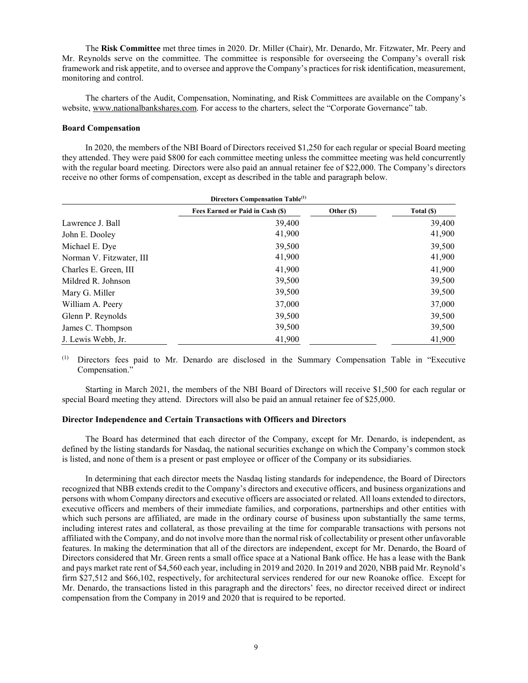The **Risk Committee** met three times in 2020. Dr. Miller (Chair), Mr. Denardo, Mr. Fitzwater, Mr. Peery and Mr. Reynolds serve on the committee. The committee is responsible for overseeing the Company's overall risk framework and risk appetite, and to oversee and approve the Company's practices for risk identification, measurement, monitoring and control.

The charters of the Audit, Compensation, Nominating, and Risk Committees are available on the Company's website, [www.nationalbankshares.com.](http://www.nationalbankshares.com/) For access to the charters, select the "Corporate Governance" tab.

# **Board Compensation**

In 2020, the members of the NBI Board of Directors received \$1,250 for each regular or special Board meeting they attended. They were paid \$800 for each committee meeting unless the committee meeting was held concurrently with the regular board meeting. Directors were also paid an annual retainer fee of \$22,000. The Company's directors receive no other forms of compensation, except as described in the table and paragraph below.

| Directors Compensation Table <sup>(1)</sup> |                                  |            |            |  |
|---------------------------------------------|----------------------------------|------------|------------|--|
|                                             | Fees Earned or Paid in Cash (\$) | Other (\$) | Total (\$) |  |
| Lawrence J. Ball                            | 39,400                           |            | 39,400     |  |
| John E. Dooley                              | 41,900                           |            | 41,900     |  |
| Michael E. Dye                              | 39,500                           |            | 39,500     |  |
| Norman V. Fitzwater, III                    | 41,900                           |            | 41,900     |  |
| Charles E. Green, III                       | 41,900                           |            | 41,900     |  |
| Mildred R. Johnson                          | 39,500                           |            | 39,500     |  |
| Mary G. Miller                              | 39,500                           |            | 39,500     |  |
| William A. Peery                            | 37,000                           |            | 37,000     |  |
| Glenn P. Reynolds                           | 39,500                           |            | 39,500     |  |
| James C. Thompson                           | 39,500                           |            | 39,500     |  |
| J. Lewis Webb, Jr.                          | 41,900                           |            | 41,900     |  |

(1) Directors fees paid to Mr. Denardo are disclosed in the Summary Compensation Table in "Executive Compensation."

Starting in March 2021, the members of the NBI Board of Directors will receive \$1,500 for each regular or special Board meeting they attend. Directors will also be paid an annual retainer fee of \$25,000.

# **Director Independence and Certain Transactions with Officers and Directors**

The Board has determined that each director of the Company, except for Mr. Denardo, is independent, as defined by the listing standards for Nasdaq, the national securities exchange on which the Company's common stock is listed, and none of them is a present or past employee or officer of the Company or its subsidiaries.

In determining that each director meets the Nasdaq listing standards for independence, the Board of Directors recognized that NBB extends credit to the Company's directors and executive officers, and business organizations and persons with whom Company directors and executive officers are associated or related. All loans extended to directors, executive officers and members of their immediate families, and corporations, partnerships and other entities with which such persons are affiliated, are made in the ordinary course of business upon substantially the same terms, including interest rates and collateral, as those prevailing at the time for comparable transactions with persons not affiliated with the Company, and do not involve more than the normal risk of collectability or present other unfavorable features. In making the determination that all of the directors are independent, except for Mr. Denardo, the Board of Directors considered that Mr. Green rents a small office space at a National Bank office. He has a lease with the Bank and pays market rate rent of \$4,560 each year, including in 2019 and 2020. In 2019 and 2020, NBB paid Mr. Reynold's firm \$27,512 and \$66,102, respectively, for architectural services rendered for our new Roanoke office. Except for Mr. Denardo, the transactions listed in this paragraph and the directors' fees, no director received direct or indirect compensation from the Company in 2019 and 2020 that is required to be reported.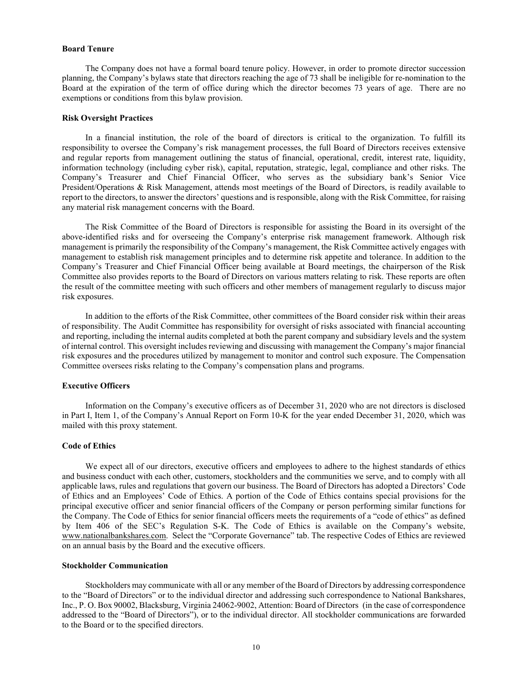### **Board Tenure**

The Company does not have a formal board tenure policy. However, in order to promote director succession planning, the Company's bylaws state that directors reaching the age of 73 shall be ineligible for re-nomination to the Board at the expiration of the term of office during which the director becomes 73 years of age. There are no exemptions or conditions from this bylaw provision.

## **Risk Oversight Practices**

In a financial institution, the role of the board of directors is critical to the organization. To fulfill its responsibility to oversee the Company's risk management processes, the full Board of Directors receives extensive and regular reports from management outlining the status of financial, operational, credit, interest rate, liquidity, information technology (including cyber risk), capital, reputation, strategic, legal, compliance and other risks. The Company's Treasurer and Chief Financial Officer, who serves as the subsidiary bank's Senior Vice President/Operations & Risk Management, attends most meetings of the Board of Directors, is readily available to report to the directors, to answer the directors' questions and is responsible, along with the Risk Committee, for raising any material risk management concerns with the Board.

The Risk Committee of the Board of Directors is responsible for assisting the Board in its oversight of the above-identified risks and for overseeing the Company's enterprise risk management framework. Although risk management is primarily the responsibility of the Company's management, the Risk Committee actively engages with management to establish risk management principles and to determine risk appetite and tolerance. In addition to the Company's Treasurer and Chief Financial Officer being available at Board meetings, the chairperson of the Risk Committee also provides reports to the Board of Directors on various matters relating to risk. These reports are often the result of the committee meeting with such officers and other members of management regularly to discuss major risk exposures.

In addition to the efforts of the Risk Committee, other committees of the Board consider risk within their areas of responsibility. The Audit Committee has responsibility for oversight of risks associated with financial accounting and reporting, including the internal audits completed at both the parent company and subsidiary levels and the system of internal control. This oversight includes reviewing and discussing with management the Company's major financial risk exposures and the procedures utilized by management to monitor and control such exposure. The Compensation Committee oversees risks relating to the Company's compensation plans and programs.

# **Executive Officers**

Information on the Company's executive officers as of December 31, 2020 who are not directors is disclosed in Part I, Item 1, of the Company's Annual Report on Form 10-K for the year ended December 31, 2020, which was mailed with this proxy statement.

### **Code of Ethics**

We expect all of our directors, executive officers and employees to adhere to the highest standards of ethics and business conduct with each other, customers, stockholders and the communities we serve, and to comply with all applicable laws, rules and regulations that govern our business. The Board of Directors has adopted a Directors' Code of Ethics and an Employees' Code of Ethics. A portion of the Code of Ethics contains special provisions for the principal executive officer and senior financial officers of the Company or person performing similar functions for the Company. The Code of Ethics for senior financial officers meets the requirements of a "code of ethics" as defined by Item 406 of the SEC's Regulation S-K. The Code of Ethics is available on the Company's website, [www.nationalbankshares.com.](http://www.nationalbankshares.com/) Select the "Corporate Governance" tab. The respective Codes of Ethics are reviewed on an annual basis by the Board and the executive officers.

### **Stockholder Communication**

Stockholders may communicate with all or any member of the Board of Directors by addressing correspondence to the "Board of Directors" or to the individual director and addressing such correspondence to National Bankshares, Inc., P. O. Box 90002, Blacksburg, Virginia 24062-9002, Attention: Board of Directors (in the case of correspondence addressed to the "Board of Directors"), or to the individual director. All stockholder communications are forwarded to the Board or to the specified directors.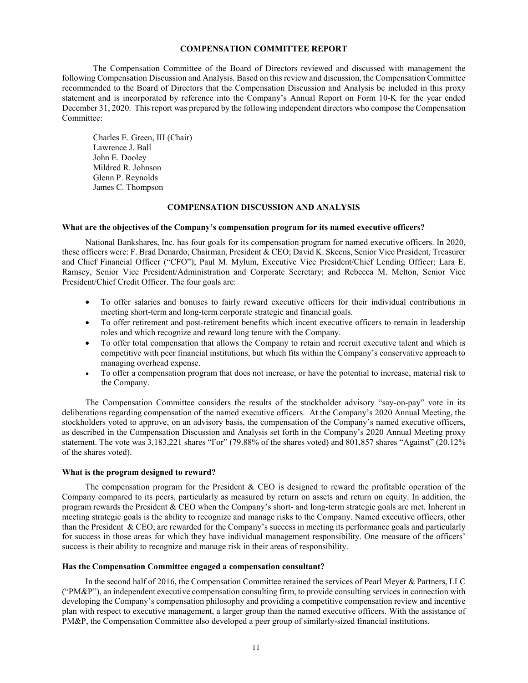### **COMPENSATION COMMITTEE REPORT**

The Compensation Committee of the Board of Directors reviewed and discussed with management the following Compensation Discussion and Analysis. Based on this review and discussion, the Compensation Committee recommended to the Board of Directors that the Compensation Discussion and Analysis be included in this proxy statement and is incorporated by reference into the Company's Annual Report on Form 10-K for the year ended December 31, 2020. This report was prepared by the following independent directors who compose the Compensation Committee:

Charles E. Green, III (Chair) Lawrence J. Ball John E. Dooley Mildred R. Johnson Glenn P. Reynolds James C. Thompson

#### **COMPENSATION DISCUSSION AND ANALYSIS**

### **What are the objectives of the Company's compensation program for its named executive officers?**

National Bankshares, Inc. has four goals for its compensation program for named executive officers. In 2020, these officers were: F. Brad Denardo, Chairman, President & CEO; David K. Skeens, Senior Vice President, Treasurer and Chief Financial Officer ("CFO"); Paul M. Mylum, Executive Vice President/Chief Lending Officer; Lara E. Ramsey, Senior Vice President/Administration and Corporate Secretary; and Rebecca M. Melton, Senior Vice President/Chief Credit Officer. The four goals are:

- To offer salaries and bonuses to fairly reward executive officers for their individual contributions in meeting short-term and long-term corporate strategic and financial goals.
- To offer retirement and post-retirement benefits which incent executive officers to remain in leadership roles and which recognize and reward long tenure with the Company.
- To offer total compensation that allows the Company to retain and recruit executive talent and which is competitive with peer financial institutions, but which fits within the Company's conservative approach to managing overhead expense.
- To offer a compensation program that does not increase, or have the potential to increase, material risk to the Company.

The Compensation Committee considers the results of the stockholder advisory "say-on-pay" vote in its deliberations regarding compensation of the named executive officers. At the Company's 2020 Annual Meeting, the stockholders voted to approve, on an advisory basis, the compensation of the Company's named executive officers, as described in the Compensation Discussion and Analysis set forth in the Company's 2020 Annual Meeting proxy statement. The vote was 3,183,221 shares "For" (79.88% of the shares voted) and 801,857 shares "Against" (20.12% of the shares voted).

#### **What is the program designed to reward?**

The compensation program for the President & CEO is designed to reward the profitable operation of the Company compared to its peers, particularly as measured by return on assets and return on equity. In addition, the program rewards the President & CEO when the Company's short- and long-term strategic goals are met. Inherent in meeting strategic goals is the ability to recognize and manage risks to the Company. Named executive officers, other than the President & CEO, are rewarded for the Company's success in meeting its performance goals and particularly for success in those areas for which they have individual management responsibility. One measure of the officers' success is their ability to recognize and manage risk in their areas of responsibility.

#### **Has the Compensation Committee engaged a compensation consultant?**

In the second half of 2016, the Compensation Committee retained the services of Pearl Meyer & Partners, LLC ("PM&P"), an independent executive compensation consulting firm, to provide consulting services in connection with developing the Company's compensation philosophy and providing a competitive compensation review and incentive plan with respect to executive management, a larger group than the named executive officers. With the assistance of PM&P, the Compensation Committee also developed a peer group of similarly-sized financial institutions.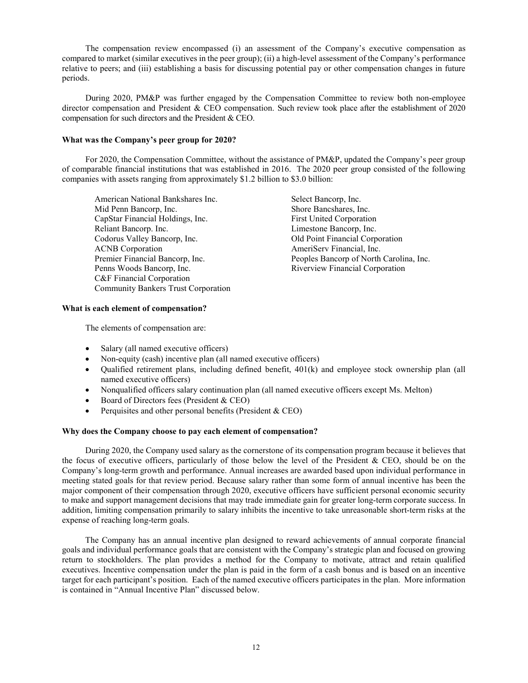The compensation review encompassed (i) an assessment of the Company's executive compensation as compared to market (similar executives in the peer group); (ii) a high-level assessment of the Company's performance relative to peers; and (iii) establishing a basis for discussing potential pay or other compensation changes in future periods.

During 2020, PM&P was further engaged by the Compensation Committee to review both non-employee director compensation and President & CEO compensation. Such review took place after the establishment of 2020 compensation for such directors and the President & CEO.

# **What was the Company's peer group for 2020?**

For 2020, the Compensation Committee, without the assistance of PM&P, updated the Company's peer group of comparable financial institutions that was established in 2016. The 2020 peer group consisted of the following companies with assets ranging from approximately \$1.2 billion to \$3.0 billion:

American National Bankshares Inc.<br>
Mid Penn Bancorp, Inc.<br>
Shore Bancshares, Inc.<br>
Shore Bancshares, Inc. CapStar Financial Holdings, Inc. First United Corporation Reliant Bancorp. Inc.<br>
Codorus Valley Bancorp, Inc.<br>
Codorus Valley Bancorp, Inc.<br>
Codorus Valley Bancorp, Inc.<br>
Codorus Valley Bancorp, Inc. ACNB Corporation **AmeriCerv** Financial, Inc. Penns Woods Bancorp, Inc. The Communication Riverview Financial Corporation C&F Financial Corporation Community Bankers Trust Corporation

Shore Bancshares, Inc. Old Point Financial Corporation Premier Financial Bancorp, Inc. Peoples Bancorp of North Carolina, Inc.

### **What is each element of compensation?**

The elements of compensation are:

- Salary (all named executive officers)
- Non-equity (cash) incentive plan (all named executive officers)
- Qualified retirement plans, including defined benefit, 401(k) and employee stock ownership plan (all named executive officers)
- Nonqualified officers salary continuation plan (all named executive officers except Ms. Melton)
- Board of Directors fees (President & CEO)
- Perquisites and other personal benefits (President & CEO)

# **Why does the Company choose to pay each element of compensation?**

During 2020, the Company used salary as the cornerstone of its compensation program because it believes that the focus of executive officers, particularly of those below the level of the President & CEO, should be on the Company's long-term growth and performance. Annual increases are awarded based upon individual performance in meeting stated goals for that review period. Because salary rather than some form of annual incentive has been the major component of their compensation through 2020, executive officers have sufficient personal economic security to make and support management decisions that may trade immediate gain for greater long-term corporate success. In addition, limiting compensation primarily to salary inhibits the incentive to take unreasonable short-term risks at the expense of reaching long-term goals.

The Company has an annual incentive plan designed to reward achievements of annual corporate financial goals and individual performance goals that are consistent with the Company's strategic plan and focused on growing return to stockholders. The plan provides a method for the Company to motivate, attract and retain qualified executives. Incentive compensation under the plan is paid in the form of a cash bonus and is based on an incentive target for each participant's position. Each of the named executive officers participates in the plan. More information is contained in "Annual Incentive Plan" discussed below.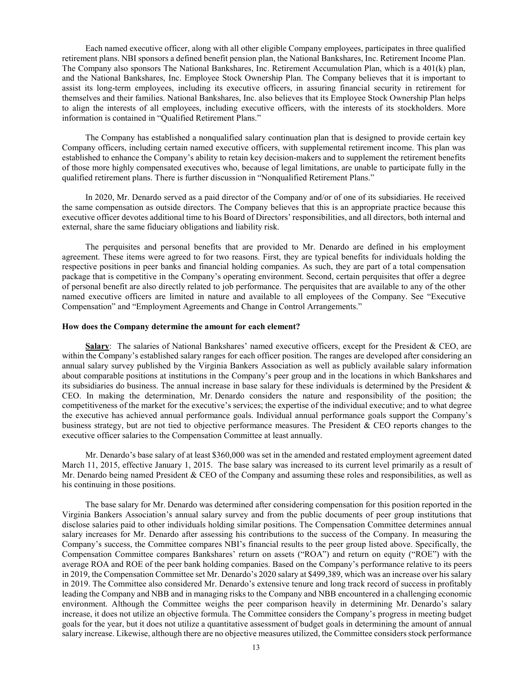Each named executive officer, along with all other eligible Company employees, participates in three qualified retirement plans. NBI sponsors a defined benefit pension plan, the National Bankshares, Inc. Retirement Income Plan. The Company also sponsors The National Bankshares, Inc. Retirement Accumulation Plan, which is a 401(k) plan, and the National Bankshares, Inc. Employee Stock Ownership Plan. The Company believes that it is important to assist its long-term employees, including its executive officers, in assuring financial security in retirement for themselves and their families. National Bankshares, Inc. also believes that its Employee Stock Ownership Plan helps to align the interests of all employees, including executive officers, with the interests of its stockholders. More information is contained in "Qualified Retirement Plans."

The Company has established a nonqualified salary continuation plan that is designed to provide certain key Company officers, including certain named executive officers, with supplemental retirement income. This plan was established to enhance the Company's ability to retain key decision-makers and to supplement the retirement benefits of those more highly compensated executives who, because of legal limitations, are unable to participate fully in the qualified retirement plans. There is further discussion in "Nonqualified Retirement Plans."

In 2020, Mr. Denardo served as a paid director of the Company and/or of one of its subsidiaries. He received the same compensation as outside directors. The Company believes that this is an appropriate practice because this executive officer devotes additional time to his Board of Directors' responsibilities, and all directors, both internal and external, share the same fiduciary obligations and liability risk.

The perquisites and personal benefits that are provided to Mr. Denardo are defined in his employment agreement. These items were agreed to for two reasons. First, they are typical benefits for individuals holding the respective positions in peer banks and financial holding companies. As such, they are part of a total compensation package that is competitive in the Company's operating environment. Second, certain perquisites that offer a degree of personal benefit are also directly related to job performance. The perquisites that are available to any of the other named executive officers are limited in nature and available to all employees of the Company. See "Executive Compensation" and "Employment Agreements and Change in Control Arrangements."

### **How does the Company determine the amount for each element?**

**Salary**: The salaries of National Bankshares' named executive officers, except for the President & CEO, are within the Company's established salary ranges for each officer position. The ranges are developed after considering an annual salary survey published by the Virginia Bankers Association as well as publicly available salary information about comparable positions at institutions in the Company's peer group and in the locations in which Bankshares and its subsidiaries do business. The annual increase in base salary for these individuals is determined by the President & CEO. In making the determination, Mr. Denardo considers the nature and responsibility of the position; the competitiveness of the market for the executive's services; the expertise of the individual executive; and to what degree the executive has achieved annual performance goals. Individual annual performance goals support the Company's business strategy, but are not tied to objective performance measures. The President & CEO reports changes to the executive officer salaries to the Compensation Committee at least annually.

Mr. Denardo's base salary of at least \$360,000 was set in the amended and restated employment agreement dated March 11, 2015, effective January 1, 2015. The base salary was increased to its current level primarily as a result of Mr. Denardo being named President & CEO of the Company and assuming these roles and responsibilities, as well as his continuing in those positions.

The base salary for Mr. Denardo was determined after considering compensation for this position reported in the Virginia Bankers Association's annual salary survey and from the public documents of peer group institutions that disclose salaries paid to other individuals holding similar positions. The Compensation Committee determines annual salary increases for Mr. Denardo after assessing his contributions to the success of the Company. In measuring the Company's success, the Committee compares NBI's financial results to the peer group listed above. Specifically, the Compensation Committee compares Bankshares' return on assets ("ROA") and return on equity ("ROE") with the average ROA and ROE of the peer bank holding companies. Based on the Company's performance relative to its peers in 2019, the Compensation Committee set Mr. Denardo's 2020 salary at \$499,389, which was an increase over his salary in 2019. The Committee also considered Mr. Denardo's extensive tenure and long track record of success in profitably leading the Company and NBB and in managing risks to the Company and NBB encountered in a challenging economic environment. Although the Committee weighs the peer comparison heavily in determining Mr. Denardo's salary increase, it does not utilize an objective formula. The Committee considers the Company's progress in meeting budget goals for the year, but it does not utilize a quantitative assessment of budget goals in determining the amount of annual salary increase. Likewise, although there are no objective measures utilized, the Committee considers stock performance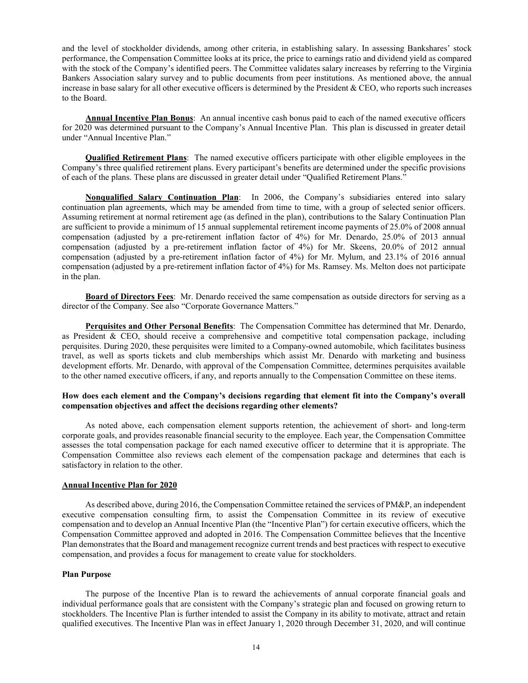and the level of stockholder dividends, among other criteria, in establishing salary. In assessing Bankshares' stock performance, the Compensation Committee looks at its price, the price to earnings ratio and dividend yield as compared with the stock of the Company's identified peers. The Committee validates salary increases by referring to the Virginia Bankers Association salary survey and to public documents from peer institutions. As mentioned above, the annual increase in base salary for all other executive officers is determined by the President  $&$  CEO, who reports such increases to the Board.

**Annual Incentive Plan Bonus**: An annual incentive cash bonus paid to each of the named executive officers for 2020 was determined pursuant to the Company's Annual Incentive Plan. This plan is discussed in greater detail under "Annual Incentive Plan."

**Qualified Retirement Plans**: The named executive officers participate with other eligible employees in the Company's three qualified retirement plans. Every participant's benefits are determined under the specific provisions of each of the plans. These plans are discussed in greater detail under "Qualified Retirement Plans."

**Nonqualified Salary Continuation Plan**: In 2006, the Company's subsidiaries entered into salary continuation plan agreements, which may be amended from time to time, with a group of selected senior officers. Assuming retirement at normal retirement age (as defined in the plan), contributions to the Salary Continuation Plan are sufficient to provide a minimum of 15 annual supplemental retirement income payments of 25.0% of 2008 annual compensation (adjusted by a pre-retirement inflation factor of 4%) for Mr. Denardo, 25.0% of 2013 annual compensation (adjusted by a pre-retirement inflation factor of 4%) for Mr. Skeens, 20.0% of 2012 annual compensation (adjusted by a pre-retirement inflation factor of 4%) for Mr. Mylum, and 23.1% of 2016 annual compensation (adjusted by a pre-retirement inflation factor of 4%) for Ms. Ramsey. Ms. Melton does not participate in the plan.

**Board of Directors Fees**: Mr. Denardo received the same compensation as outside directors for serving as a director of the Company. See also "Corporate Governance Matters."

**Perquisites and Other Personal Benefits**: The Compensation Committee has determined that Mr. Denardo, as President & CEO, should receive a comprehensive and competitive total compensation package, including perquisites. During 2020, these perquisites were limited to a Company-owned automobile, which facilitates business travel, as well as sports tickets and club memberships which assist Mr. Denardo with marketing and business development efforts. Mr. Denardo, with approval of the Compensation Committee, determines perquisites available to the other named executive officers, if any, and reports annually to the Compensation Committee on these items.

## **How does each element and the Company's decisions regarding that element fit into the Company's overall compensation objectives and affect the decisions regarding other elements?**

As noted above, each compensation element supports retention, the achievement of short- and long-term corporate goals, and provides reasonable financial security to the employee. Each year, the Compensation Committee assesses the total compensation package for each named executive officer to determine that it is appropriate. The Compensation Committee also reviews each element of the compensation package and determines that each is satisfactory in relation to the other.

#### **Annual Incentive Plan for 2020**

As described above, during 2016, the Compensation Committee retained the services of PM&P, an independent executive compensation consulting firm, to assist the Compensation Committee in its review of executive compensation and to develop an Annual Incentive Plan (the "Incentive Plan") for certain executive officers, which the Compensation Committee approved and adopted in 2016. The Compensation Committee believes that the Incentive Plan demonstrates that the Board and management recognize current trends and best practices with respect to executive compensation, and provides a focus for management to create value for stockholders.

# **Plan Purpose**

The purpose of the Incentive Plan is to reward the achievements of annual corporate financial goals and individual performance goals that are consistent with the Company's strategic plan and focused on growing return to stockholders. The Incentive Plan is further intended to assist the Company in its ability to motivate, attract and retain qualified executives. The Incentive Plan was in effect January 1, 2020 through December 31, 2020, and will continue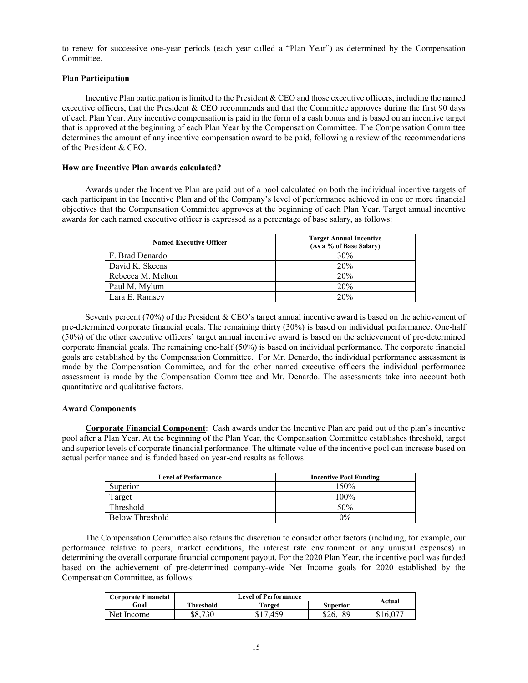to renew for successive one-year periods (each year called a "Plan Year") as determined by the Compensation Committee.

# **Plan Participation**

Incentive Plan participation is limited to the President & CEO and those executive officers, including the named executive officers, that the President & CEO recommends and that the Committee approves during the first 90 days of each Plan Year. Any incentive compensation is paid in the form of a cash bonus and is based on an incentive target that is approved at the beginning of each Plan Year by the Compensation Committee. The Compensation Committee determines the amount of any incentive compensation award to be paid, following a review of the recommendations of the President & CEO.

### **How are Incentive Plan awards calculated?**

Awards under the Incentive Plan are paid out of a pool calculated on both the individual incentive targets of each participant in the Incentive Plan and of the Company's level of performance achieved in one or more financial objectives that the Compensation Committee approves at the beginning of each Plan Year. Target annual incentive awards for each named executive officer is expressed as a percentage of base salary, as follows:

| <b>Named Executive Officer</b> | <b>Target Annual Incentive</b><br>(As a % of Base Salary) |
|--------------------------------|-----------------------------------------------------------|
| F. Brad Denardo                | 30%                                                       |
| David K. Skeens                | <b>20%</b>                                                |
| Rebecca M. Melton              | 20%                                                       |
| Paul M. Mylum                  | 20%                                                       |
| Lara E. Ramsey                 | 20%                                                       |

Seventy percent (70%) of the President & CEO's target annual incentive award is based on the achievement of pre-determined corporate financial goals. The remaining thirty (30%) is based on individual performance. One-half (50%) of the other executive officers' target annual incentive award is based on the achievement of pre-determined corporate financial goals. The remaining one-half (50%) is based on individual performance. The corporate financial goals are established by the Compensation Committee. For Mr. Denardo, the individual performance assessment is made by the Compensation Committee, and for the other named executive officers the individual performance assessment is made by the Compensation Committee and Mr. Denardo. The assessments take into account both quantitative and qualitative factors.

### **Award Components**

**Corporate Financial Component**:Cash awards under the Incentive Plan are paid out of the plan's incentive pool after a Plan Year. At the beginning of the Plan Year, the Compensation Committee establishes threshold, target and superior levels of corporate financial performance. The ultimate value of the incentive pool can increase based on actual performance and is funded based on year-end results as follows:

| <b>Level of Performance</b> | <b>Incentive Pool Funding</b> |
|-----------------------------|-------------------------------|
| Superior                    | 150%                          |
| Target                      | $100\%$                       |
| Threshold                   | 50%                           |
| <b>Below Threshold</b>      | 0%                            |

The Compensation Committee also retains the discretion to consider other factors (including, for example, our performance relative to peers, market conditions, the interest rate environment or any unusual expenses) in determining the overall corporate financial component payout. For the 2020 Plan Year, the incentive pool was funded based on the achievement of pre-determined company-wide Net Income goals for 2020 established by the Compensation Committee, as follows:

| <b>Corporate Financial</b> |           | <b>Level of Performance</b> |          |          |  |
|----------------------------|-----------|-----------------------------|----------|----------|--|
| Goal                       | Threshold | Target                      | Superior | Actual   |  |
| Net Income                 | \$8.730   | \$17.459                    | \$26.189 | \$16,077 |  |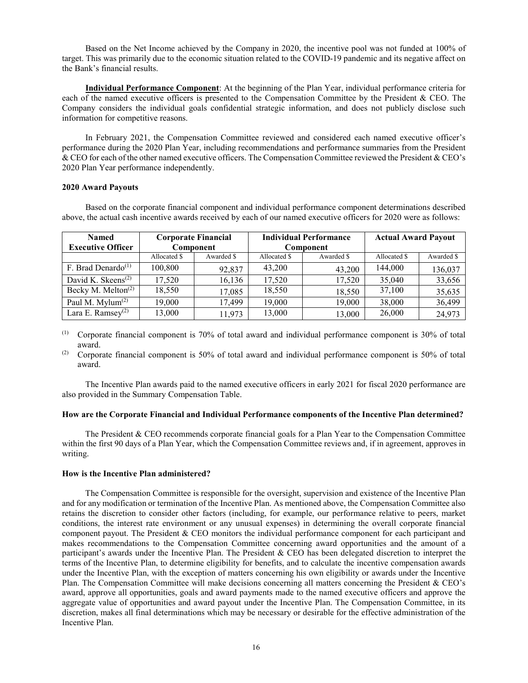Based on the Net Income achieved by the Company in 2020, the incentive pool was not funded at 100% of target. This was primarily due to the economic situation related to the COVID-19 pandemic and its negative affect on the Bank's financial results.

**Individual Performance Component**: At the beginning of the Plan Year, individual performance criteria for each of the named executive officers is presented to the Compensation Committee by the President & CEO. The Company considers the individual goals confidential strategic information, and does not publicly disclose such information for competitive reasons.

In February 2021, the Compensation Committee reviewed and considered each named executive officer's performance during the 2020 Plan Year, including recommendations and performance summaries from the President & CEO for each of the other named executive officers. The Compensation Committee reviewed the President & CEO's 2020 Plan Year performance independently.

### **2020 Award Payouts**

Based on the corporate financial component and individual performance component determinations described above, the actual cash incentive awards received by each of our named executive officers for 2020 were as follows:

| <b>Named</b>                                |              | <b>Corporate Financial</b> | <b>Individual Performance</b> |            | <b>Actual Award Payout</b> |            |
|---------------------------------------------|--------------|----------------------------|-------------------------------|------------|----------------------------|------------|
| <b>Executive Officer</b>                    |              | Component                  |                               | Component  |                            |            |
|                                             | Allocated \$ | Awarded \$                 | Allocated \$                  | Awarded \$ | Allocated \$               | Awarded \$ |
| F. Brad Denardo <sup><math>(1)</math></sup> | 100,800      | 92,837                     | 43,200                        | 43,200     | 144,000                    | 136,037    |
| David K. Skeens <sup><math>(2)</math></sup> | 17,520       | 16,136                     | 17,520                        | 17,520     | 35,040                     | 33,656     |
| Becky M. Melton <sup>(2)</sup>              | 18,550       | 17,085                     | 18,550                        | 18,550     | 37,100                     | 35,635     |
| Paul M. Mylum <sup>(2)</sup>                | 19,000       | 17,499                     | 19,000                        | 19,000     | 38,000                     | 36,499     |
| Lara E. Ramsey $(2)$                        | 13,000       | 11,973                     | 13,000                        | 13,000     | 26,000                     | 24,973     |

(1) Corporate financial component is 70% of total award and individual performance component is 30% of total award.

(2) Corporate financial component is 50% of total award and individual performance component is 50% of total award.

The Incentive Plan awards paid to the named executive officers in early 2021 for fiscal 2020 performance are also provided in the Summary Compensation Table.

### **How are the Corporate Financial and Individual Performance components of the Incentive Plan determined?**

The President & CEO recommends corporate financial goals for a Plan Year to the Compensation Committee within the first 90 days of a Plan Year, which the Compensation Committee reviews and, if in agreement, approves in writing.

### **How is the Incentive Plan administered?**

The Compensation Committee is responsible for the oversight, supervision and existence of the Incentive Plan and for any modification or termination of the Incentive Plan. As mentioned above, the Compensation Committee also retains the discretion to consider other factors (including, for example, our performance relative to peers, market conditions, the interest rate environment or any unusual expenses) in determining the overall corporate financial component payout. The President & CEO monitors the individual performance component for each participant and makes recommendations to the Compensation Committee concerning award opportunities and the amount of a participant's awards under the Incentive Plan. The President & CEO has been delegated discretion to interpret the terms of the Incentive Plan, to determine eligibility for benefits, and to calculate the incentive compensation awards under the Incentive Plan, with the exception of matters concerning his own eligibility or awards under the Incentive Plan. The Compensation Committee will make decisions concerning all matters concerning the President & CEO's award, approve all opportunities, goals and award payments made to the named executive officers and approve the aggregate value of opportunities and award payout under the Incentive Plan. The Compensation Committee, in its discretion, makes all final determinations which may be necessary or desirable for the effective administration of the Incentive Plan.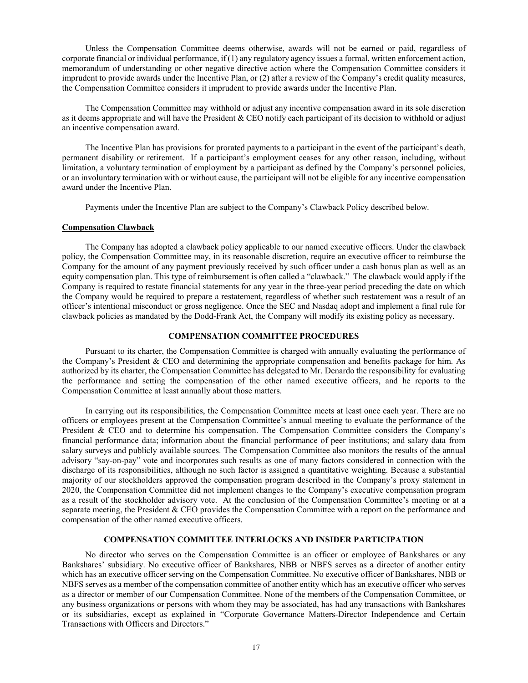Unless the Compensation Committee deems otherwise, awards will not be earned or paid, regardless of corporate financial or individual performance, if (1) any regulatory agency issues a formal, written enforcement action, memorandum of understanding or other negative directive action where the Compensation Committee considers it imprudent to provide awards under the Incentive Plan, or (2) after a review of the Company's credit quality measures, the Compensation Committee considers it imprudent to provide awards under the Incentive Plan.

The Compensation Committee may withhold or adjust any incentive compensation award in its sole discretion as it deems appropriate and will have the President & CEO notify each participant of its decision to withhold or adjust an incentive compensation award.

The Incentive Plan has provisions for prorated payments to a participant in the event of the participant's death, permanent disability or retirement. If a participant's employment ceases for any other reason, including, without limitation, a voluntary termination of employment by a participant as defined by the Company's personnel policies, or an involuntary termination with or without cause, the participant will not be eligible for any incentive compensation award under the Incentive Plan.

Payments under the Incentive Plan are subject to the Company's Clawback Policy described below.

# **Compensation Clawback**

The Company has adopted a clawback policy applicable to our named executive officers. Under the clawback policy, the Compensation Committee may, in its reasonable discretion, require an executive officer to reimburse the Company for the amount of any payment previously received by such officer under a cash bonus plan as well as an equity compensation plan. This type of reimbursement is often called a "clawback." The clawback would apply if the Company is required to restate financial statements for any year in the three-year period preceding the date on which the Company would be required to prepare a restatement, regardless of whether such restatement was a result of an officer's intentional misconduct or gross negligence. Once the SEC and Nasdaq adopt and implement a final rule for clawback policies as mandated by the Dodd-Frank Act, the Company will modify its existing policy as necessary.

# **COMPENSATION COMMITTEE PROCEDURES**

Pursuant to its charter, the Compensation Committee is charged with annually evaluating the performance of the Company's President & CEO and determining the appropriate compensation and benefits package for him. As authorized by its charter, the Compensation Committee has delegated to Mr. Denardo the responsibility for evaluating the performance and setting the compensation of the other named executive officers, and he reports to the Compensation Committee at least annually about those matters.

In carrying out its responsibilities, the Compensation Committee meets at least once each year. There are no officers or employees present at the Compensation Committee's annual meeting to evaluate the performance of the President & CEO and to determine his compensation. The Compensation Committee considers the Company's financial performance data; information about the financial performance of peer institutions; and salary data from salary surveys and publicly available sources. The Compensation Committee also monitors the results of the annual advisory "say-on-pay" vote and incorporates such results as one of many factors considered in connection with the discharge of its responsibilities, although no such factor is assigned a quantitative weighting. Because a substantial majority of our stockholders approved the compensation program described in the Company's proxy statement in 2020, the Compensation Committee did not implement changes to the Company's executive compensation program as a result of the stockholder advisory vote. At the conclusion of the Compensation Committee's meeting or at a separate meeting, the President & CEO provides the Compensation Committee with a report on the performance and compensation of the other named executive officers.

### **COMPENSATION COMMITTEE INTERLOCKS AND INSIDER PARTICIPATION**

No director who serves on the Compensation Committee is an officer or employee of Bankshares or any Bankshares' subsidiary. No executive officer of Bankshares, NBB or NBFS serves as a director of another entity which has an executive officer serving on the Compensation Committee. No executive officer of Bankshares, NBB or NBFS serves as a member of the compensation committee of another entity which has an executive officer who serves as a director or member of our Compensation Committee. None of the members of the Compensation Committee, or any business organizations or persons with whom they may be associated, has had any transactions with Bankshares or its subsidiaries, except as explained in "Corporate Governance Matters-Director Independence and Certain Transactions with Officers and Directors."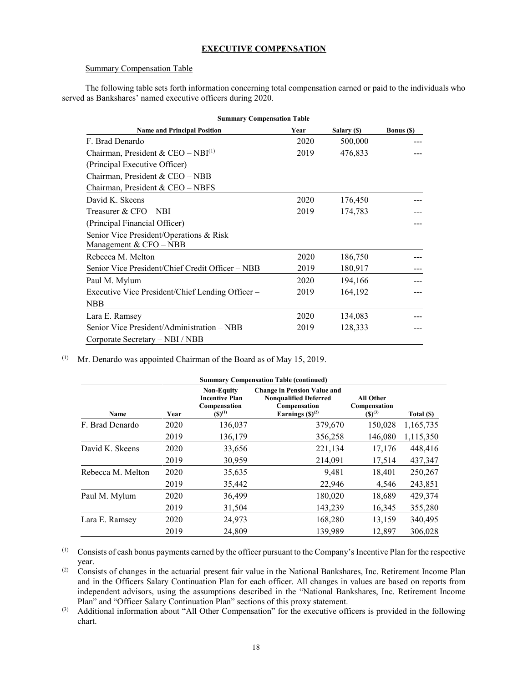# **EXECUTIVE COMPENSATION**

### Summary Compensation Table

The following table sets forth information concerning total compensation earned or paid to the individuals who served as Bankshares' named executive officers during 2020.

| <b>Summary Compensation Table</b>                |      |             |                   |  |  |
|--------------------------------------------------|------|-------------|-------------------|--|--|
| <b>Name and Principal Position</b>               | Year | Salary (\$) | <b>Bonus</b> (\$) |  |  |
| F. Brad Denardo                                  | 2020 | 500,000     |                   |  |  |
| Chairman, President & CEO - NBI $^{(1)}$         | 2019 | 476,833     |                   |  |  |
| (Principal Executive Officer)                    |      |             |                   |  |  |
| Chairman, President & CEO - NBB                  |      |             |                   |  |  |
| Chairman, President & CEO – NBFS                 |      |             |                   |  |  |
| David K. Skeens                                  | 2020 | 176,450     |                   |  |  |
| Treasurer & CFO – NBI                            | 2019 | 174,783     |                   |  |  |
| (Principal Financial Officer)                    |      |             |                   |  |  |
| Senior Vice President/Operations & Risk          |      |             |                   |  |  |
| Management & $CFO - NBB$                         |      |             |                   |  |  |
| Rebecca M. Melton                                | 2020 | 186,750     |                   |  |  |
| Senior Vice President/Chief Credit Officer – NBB | 2019 | 180,917     |                   |  |  |
| Paul M. Mylum                                    | 2020 | 194,166     |                   |  |  |
| Executive Vice President/Chief Lending Officer – | 2019 | 164,192     |                   |  |  |
| <b>NBB</b>                                       |      |             |                   |  |  |
| Lara E. Ramsey                                   | 2020 | 134,083     |                   |  |  |
| Senior Vice President/Administration – NBB       | 2019 | 128,333     |                   |  |  |
| Corporate Secretary - NBI / NBB                  |      |             |                   |  |  |

(1) Mr. Denardo was appointed Chairman of the Board as of May 15, 2019.

|                   | <b>Summary Compensation Table (continued)</b> |                                                                           |                                                                                                            |                                          |            |  |  |
|-------------------|-----------------------------------------------|---------------------------------------------------------------------------|------------------------------------------------------------------------------------------------------------|------------------------------------------|------------|--|--|
| Name              | Year                                          | <b>Non-Equity</b><br><b>Incentive Plan</b><br>Compensation<br>$(S)^{(1)}$ | <b>Change in Pension Value and</b><br><b>Nonqualified Deferred</b><br>Compensation<br>Earnings $(S)^{(2)}$ | All Other<br>Compensation<br>$(S)^{(3)}$ | Total (\$) |  |  |
| F. Brad Denardo   | 2020                                          | 136,037                                                                   | 379,670                                                                                                    | 150,028                                  | 1,165,735  |  |  |
|                   | 2019                                          | 136,179                                                                   | 356,258                                                                                                    | 146,080                                  | 1,115,350  |  |  |
| David K. Skeens   | 2020                                          | 33,656                                                                    | 221,134                                                                                                    | 17,176                                   | 448,416    |  |  |
|                   | 2019                                          | 30,959                                                                    | 214,091                                                                                                    | 17,514                                   | 437,347    |  |  |
| Rebecca M. Melton | 2020                                          | 35,635                                                                    | 9,481                                                                                                      | 18,401                                   | 250,267    |  |  |
|                   | 2019                                          | 35,442                                                                    | 22,946                                                                                                     | 4,546                                    | 243,851    |  |  |
| Paul M. Mylum     | 2020                                          | 36,499                                                                    | 180,020                                                                                                    | 18,689                                   | 429,374    |  |  |
|                   | 2019                                          | 31,504                                                                    | 143,239                                                                                                    | 16,345                                   | 355,280    |  |  |
| Lara E. Ramsey    | 2020                                          | 24,973                                                                    | 168,280                                                                                                    | 13,159                                   | 340,495    |  |  |
|                   | 2019                                          | 24,809                                                                    | 139,989                                                                                                    | 12,897                                   | 306,028    |  |  |

(1) Consists of cash bonus payments earned by the officer pursuant to the Company's Incentive Plan for the respective year.

(2) Consists of changes in the actuarial present fair value in the National Bankshares, Inc. Retirement Income Plan and in the Officers Salary Continuation Plan for each officer. All changes in values are based on reports from independent advisors, using the assumptions described in the "National Bankshares, Inc. Retirement Income Plan" and "Officer Salary Continuation Plan" sections of this proxy statement.

(3) Additional information about "All Other Compensation" for the executive officers is provided in the following chart.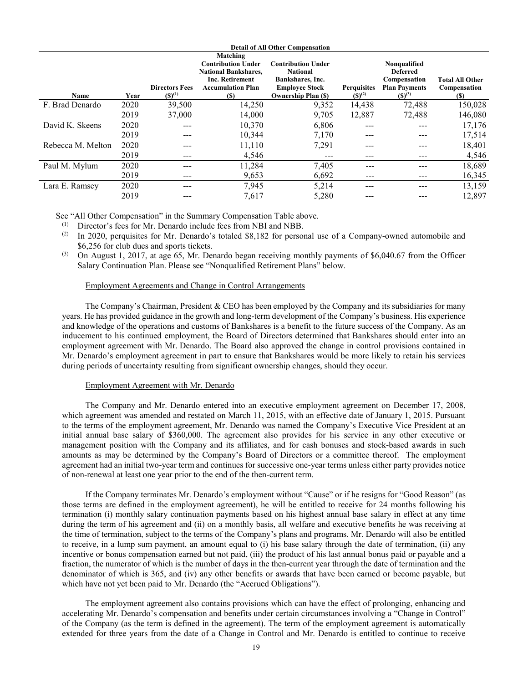|                   | <b>Detail of All Other Compensation</b> |                                      |                                                                                                                                   |                                                                                                                         |                                   |                                                                                        |                                               |
|-------------------|-----------------------------------------|--------------------------------------|-----------------------------------------------------------------------------------------------------------------------------------|-------------------------------------------------------------------------------------------------------------------------|-----------------------------------|----------------------------------------------------------------------------------------|-----------------------------------------------|
| Name              | Year                                    | <b>Directors Fees</b><br>$(S)^{(1)}$ | Matching<br><b>Contribution Under</b><br><b>National Bankshares,</b><br><b>Inc. Retirement</b><br><b>Accumulation Plan</b><br>(S) | <b>Contribution Under</b><br><b>National</b><br>Bankshares, Inc.<br><b>Employee Stock</b><br><b>Ownership Plan (\$)</b> | <b>Perquisites</b><br>$(S)^{(2)}$ | Nonqualified<br><b>Deferred</b><br>Compensation<br><b>Plan Payments</b><br>$(S)^{(3)}$ | <b>Total All Other</b><br>Compensation<br>(S) |
| F. Brad Denardo   | 2020                                    | 39,500                               | 14,250                                                                                                                            | 9,352                                                                                                                   | 14,438                            | 72,488                                                                                 | 150,028                                       |
|                   | 2019                                    | 37,000                               | 14,000                                                                                                                            | 9,705                                                                                                                   | 12,887                            | 72,488                                                                                 | 146,080                                       |
| David K. Skeens   | 2020                                    |                                      | 10,370                                                                                                                            | 6,806                                                                                                                   |                                   |                                                                                        | 17,176                                        |
|                   | 2019                                    | ---                                  | 10,344                                                                                                                            | 7,170                                                                                                                   | ---                               |                                                                                        | 17,514                                        |
| Rebecca M. Melton | 2020                                    |                                      | 11,110                                                                                                                            | 7,291                                                                                                                   |                                   |                                                                                        | 18,401                                        |
|                   | 2019                                    | ---                                  | 4,546                                                                                                                             | ---                                                                                                                     | ---                               |                                                                                        | 4,546                                         |
| Paul M. Mylum     | 2020                                    |                                      | 11,284                                                                                                                            | 7,405                                                                                                                   |                                   |                                                                                        | 18,689                                        |
|                   | 2019                                    | ---                                  | 9,653                                                                                                                             | 6,692                                                                                                                   |                                   | ---                                                                                    | 16,345                                        |
| Lara E. Ramsey    | 2020                                    | ---                                  | 7,945                                                                                                                             | 5,214                                                                                                                   |                                   |                                                                                        | 13,159                                        |
|                   | 2019                                    | ---                                  | 7,617                                                                                                                             | 5,280                                                                                                                   |                                   |                                                                                        | 12,897                                        |

See "All Other Compensation" in the Summary Compensation Table above.

(1) Director's fees for Mr. Denardo include fees from NBI and NBB.

(2) In 2020, perquisites for Mr. Denardo's totaled \$8,182 for personal use of a Company-owned automobile and \$6,256 for club dues and sports tickets.

(3) On August 1, 2017, at age 65, Mr. Denardo began receiving monthly payments of \$6,040.67 from the Officer Salary Continuation Plan. Please see "Nonqualified Retirement Plans" below.

## Employment Agreements and Change in Control Arrangements

The Company's Chairman, President & CEO has been employed by the Company and its subsidiaries for many years. He has provided guidance in the growth and long-term development of the Company's business. His experience and knowledge of the operations and customs of Bankshares is a benefit to the future success of the Company. As an inducement to his continued employment, the Board of Directors determined that Bankshares should enter into an employment agreement with Mr. Denardo. The Board also approved the change in control provisions contained in Mr. Denardo's employment agreement in part to ensure that Bankshares would be more likely to retain his services during periods of uncertainty resulting from significant ownership changes, should they occur.

# Employment Agreement with Mr. Denardo

The Company and Mr. Denardo entered into an executive employment agreement on December 17, 2008, which agreement was amended and restated on March 11, 2015, with an effective date of January 1, 2015. Pursuant to the terms of the employment agreement, Mr. Denardo was named the Company's Executive Vice President at an initial annual base salary of \$360,000. The agreement also provides for his service in any other executive or management position with the Company and its affiliates, and for cash bonuses and stock-based awards in such amounts as may be determined by the Company's Board of Directors or a committee thereof. The employment agreement had an initial two-year term and continues for successive one-year terms unless either party provides notice of non-renewal at least one year prior to the end of the then-current term.

If the Company terminates Mr. Denardo's employment without "Cause" or if he resigns for "Good Reason" (as those terms are defined in the employment agreement), he will be entitled to receive for 24 months following his termination (i) monthly salary continuation payments based on his highest annual base salary in effect at any time during the term of his agreement and (ii) on a monthly basis, all welfare and executive benefits he was receiving at the time of termination, subject to the terms of the Company's plans and programs. Mr. Denardo will also be entitled to receive, in a lump sum payment, an amount equal to (i) his base salary through the date of termination, (ii) any incentive or bonus compensation earned but not paid, (iii) the product of his last annual bonus paid or payable and a fraction, the numerator of which is the number of days in the then-current year through the date of termination and the denominator of which is 365, and (iv) any other benefits or awards that have been earned or become payable, but which have not yet been paid to Mr. Denardo (the "Accrued Obligations").

The employment agreement also contains provisions which can have the effect of prolonging, enhancing and accelerating Mr. Denardo's compensation and benefits under certain circumstances involving a "Change in Control" of the Company (as the term is defined in the agreement). The term of the employment agreement is automatically extended for three years from the date of a Change in Control and Mr. Denardo is entitled to continue to receive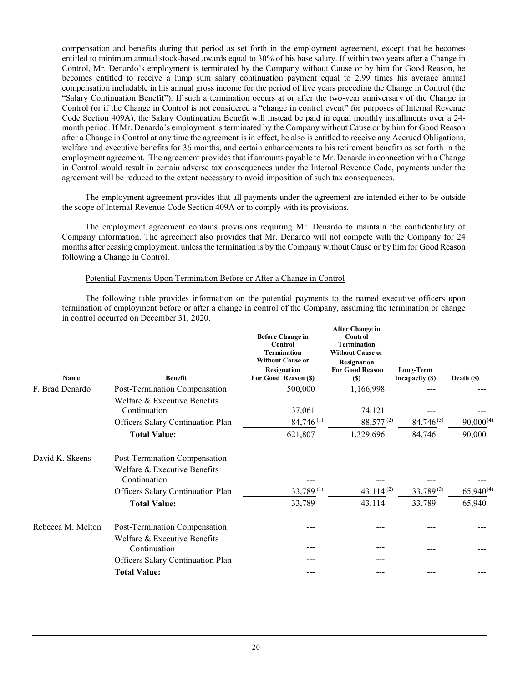compensation and benefits during that period as set forth in the employment agreement, except that he becomes entitled to minimum annual stock-based awards equal to 30% of his base salary. If within two years after a Change in Control, Mr. Denardo's employment is terminated by the Company without Cause or by him for Good Reason, he becomes entitled to receive a lump sum salary continuation payment equal to 2.99 times his average annual compensation includable in his annual gross income for the period of five years preceding the Change in Control (the "Salary Continuation Benefit"). If such a termination occurs at or after the two-year anniversary of the Change in Control (or if the Change in Control is not considered a "change in control event" for purposes of Internal Revenue Code Section 409A), the Salary Continuation Benefit will instead be paid in equal monthly installments over a 24 month period. If Mr. Denardo's employment is terminated by the Company without Cause or by him for Good Reason after a Change in Control at any time the agreement is in effect, he also is entitled to receive any Accrued Obligations, welfare and executive benefits for 36 months, and certain enhancements to his retirement benefits as set forth in the employment agreement. The agreement provides that if amounts payable to Mr. Denardo in connection with a Change in Control would result in certain adverse tax consequences under the Internal Revenue Code, payments under the agreement will be reduced to the extent necessary to avoid imposition of such tax consequences.

The employment agreement provides that all payments under the agreement are intended either to be outside the scope of Internal Revenue Code Section 409A or to comply with its provisions.

The employment agreement contains provisions requiring Mr. Denardo to maintain the confidentiality of Company information. The agreement also provides that Mr. Denardo will not compete with the Company for 24 months after ceasing employment, unless the termination is by the Company without Cause or by him for Good Reason following a Change in Control.

# Potential Payments Upon Termination Before or After a Change in Control

The following table provides information on the potential payments to the named executive officers upon termination of employment before or after a change in control of the Company, assuming the termination or change in control occurred on December 31, 2020.

**After Change in** 

| Name              | <b>Benefit</b>                                                                    | <b>Before Change in</b><br><b>Control</b><br><b>Termination</b><br><b>Without Cause or</b><br><b>Resignation</b><br>For Good Reason (\$) | After Unange in<br>Control<br><b>Termination</b><br><b>Without Cause or</b><br>Resignation<br><b>For Good Reason</b><br>(S) | Long-Term<br>Incapacity (\$) | Death $(S)$    |
|-------------------|-----------------------------------------------------------------------------------|------------------------------------------------------------------------------------------------------------------------------------------|-----------------------------------------------------------------------------------------------------------------------------|------------------------------|----------------|
| F. Brad Denardo   | Post-Termination Compensation                                                     | 500,000                                                                                                                                  | 1,166,998                                                                                                                   |                              |                |
|                   | Welfare & Executive Benefits<br>Continuation<br>Officers Salary Continuation Plan | 37,061<br>$84,746$ <sup>(1)</sup>                                                                                                        | 74,121<br>88,577 <sup>(2)</sup>                                                                                             | $84,746^{(3)}$               | $90,000^{(4)}$ |
|                   | <b>Total Value:</b>                                                               | 621,807                                                                                                                                  | 1,329,696                                                                                                                   | 84,746                       | 90,000         |
| David K. Skeens   | Post-Termination Compensation<br>Welfare & Executive Benefits<br>Continuation     |                                                                                                                                          |                                                                                                                             |                              |                |
|                   | Officers Salary Continuation Plan                                                 | 33,789(1)                                                                                                                                | $43,114^{(2)}$                                                                                                              | $33,789^{(3)}$               | $65,940^{(4)}$ |
|                   | <b>Total Value:</b>                                                               | 33,789                                                                                                                                   | 43,114                                                                                                                      | 33,789                       | 65,940         |
| Rebecca M. Melton | Post-Termination Compensation<br>Welfare & Executive Benefits                     |                                                                                                                                          |                                                                                                                             |                              |                |
|                   | Continuation                                                                      |                                                                                                                                          |                                                                                                                             |                              |                |
|                   | Officers Salary Continuation Plan                                                 |                                                                                                                                          |                                                                                                                             |                              |                |
|                   | <b>Total Value:</b>                                                               |                                                                                                                                          |                                                                                                                             |                              |                |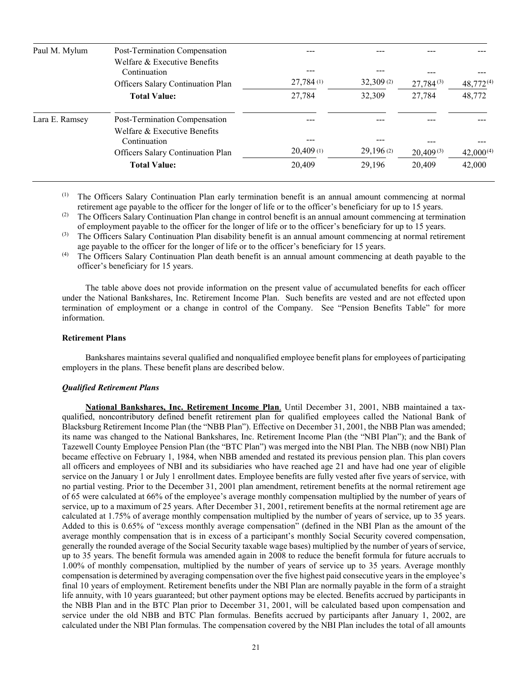| Paul M. Mylum  | Post-Termination Compensation                |           |           |                |                |
|----------------|----------------------------------------------|-----------|-----------|----------------|----------------|
|                | Welfare & Executive Benefits<br>Continuation |           |           | $27,784^{(3)}$ | $48,772^{(4)}$ |
|                | Officers Salary Continuation Plan            | 27,784(1) | 32,309(2) |                |                |
|                | <b>Total Value:</b>                          | 27,784    | 32,309    | 27,784         | 48,772         |
| Lara E. Ramsey | Post-Termination Compensation                |           |           |                |                |
|                | Welfare & Executive Benefits<br>Continuation | ---       |           | ---            |                |
|                | Officers Salary Continuation Plan            | 20,409(1) | 29,196(2) | $20,409^{(3)}$ | $42,000^{(4)}$ |
|                | <b>Total Value:</b>                          | 20,409    | 29,196    | 20,409         | 42,000         |

- The Officers Salary Continuation Plan early termination benefit is an annual amount commencing at normal retirement age payable to the officer for the longer of life or to the officer's beneficiary for up to 15 years.
- (2) The Officers Salary Continuation Plan change in control benefit is an annual amount commencing at termination of employment payable to the officer for the longer of life or to the officer's beneficiary for up to 15 years.
- (3) The Officers Salary Continuation Plan disability benefit is an annual amount commencing at normal retirement age payable to the officer for the longer of life or to the officer's beneficiary for 15 years.
- (4) The Officers Salary Continuation Plan death benefit is an annual amount commencing at death payable to the officer's beneficiary for 15 years.

The table above does not provide information on the present value of accumulated benefits for each officer under the National Bankshares, Inc. Retirement Income Plan. Such benefits are vested and are not effected upon termination of employment or a change in control of the Company. See "Pension Benefits Table" for more information.

#### **Retirement Plans**

Bankshares maintains several qualified and nonqualified employee benefit plans for employees of participating employers in the plans. These benefit plans are described below.

#### *Qualified Retirement Plans*

**National Bankshares, Inc. Retirement Income Plan**. Until December 31, 2001, NBB maintained a taxqualified, noncontributory defined benefit retirement plan for qualified employees called the National Bank of Blacksburg Retirement Income Plan (the "NBB Plan"). Effective on December 31, 2001, the NBB Plan was amended; its name was changed to the National Bankshares, Inc. Retirement Income Plan (the "NBI Plan"); and the Bank of Tazewell County Employee Pension Plan (the "BTC Plan") was merged into the NBI Plan. The NBB (now NBI) Plan became effective on February 1, 1984, when NBB amended and restated its previous pension plan. This plan covers all officers and employees of NBI and its subsidiaries who have reached age 21 and have had one year of eligible service on the January 1 or July 1 enrollment dates. Employee benefits are fully vested after five years of service, with no partial vesting. Prior to the December 31, 2001 plan amendment, retirement benefits at the normal retirement age of 65 were calculated at 66% of the employee's average monthly compensation multiplied by the number of years of service, up to a maximum of 25 years. After December 31, 2001, retirement benefits at the normal retirement age are calculated at 1.75% of average monthly compensation multiplied by the number of years of service, up to 35 years. Added to this is 0.65% of "excess monthly average compensation" (defined in the NBI Plan as the amount of the average monthly compensation that is in excess of a participant's monthly Social Security covered compensation, generally the rounded average of the Social Security taxable wage bases) multiplied by the number of years of service, up to 35 years. The benefit formula was amended again in 2008 to reduce the benefit formula for future accruals to 1.00% of monthly compensation, multiplied by the number of years of service up to 35 years. Average monthly compensation is determined by averaging compensation over the five highest paid consecutive years in the employee's final 10 years of employment. Retirement benefits under the NBI Plan are normally payable in the form of a straight life annuity, with 10 years guaranteed; but other payment options may be elected. Benefits accrued by participants in the NBB Plan and in the BTC Plan prior to December 31, 2001, will be calculated based upon compensation and service under the old NBB and BTC Plan formulas. Benefits accrued by participants after January 1, 2002, are calculated under the NBI Plan formulas. The compensation covered by the NBI Plan includes the total of all amounts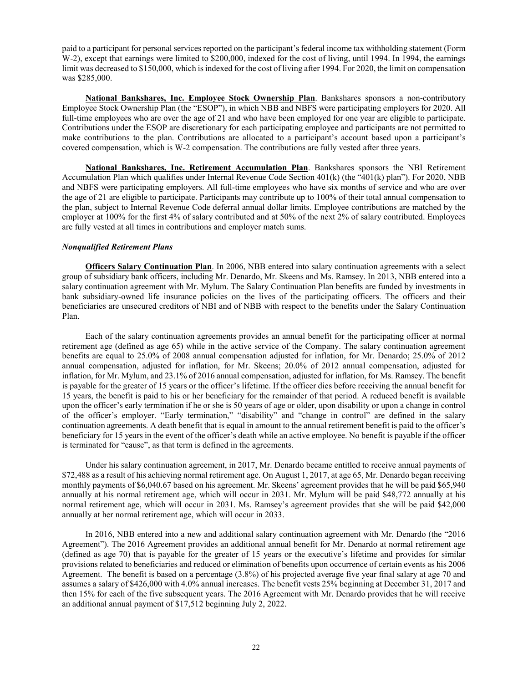paid to a participant for personal services reported on the participant's federal income tax withholding statement (Form W-2), except that earnings were limited to \$200,000, indexed for the cost of living, until 1994. In 1994, the earnings limit was decreased to \$150,000, which is indexed for the cost of living after 1994. For 2020, the limit on compensation was \$285,000.

**National Bankshares, Inc. Employee Stock Ownership Plan**. Bankshares sponsors a non-contributory Employee Stock Ownership Plan (the "ESOP"), in which NBB and NBFS were participating employers for 2020. All full-time employees who are over the age of 21 and who have been employed for one year are eligible to participate. Contributions under the ESOP are discretionary for each participating employee and participants are not permitted to make contributions to the plan. Contributions are allocated to a participant's account based upon a participant's covered compensation, which is W-2 compensation. The contributions are fully vested after three years.

**National Bankshares, Inc. Retirement Accumulation Plan**. Bankshares sponsors the NBI Retirement Accumulation Plan which qualifies under Internal Revenue Code Section 401(k) (the "401(k) plan"). For 2020, NBB and NBFS were participating employers. All full-time employees who have six months of service and who are over the age of 21 are eligible to participate. Participants may contribute up to 100% of their total annual compensation to the plan, subject to Internal Revenue Code deferral annual dollar limits. Employee contributions are matched by the employer at 100% for the first 4% of salary contributed and at 50% of the next 2% of salary contributed. Employees are fully vested at all times in contributions and employer match sums.

# *Nonqualified Retirement Plans*

**Officers Salary Continuation Plan**. In 2006, NBB entered into salary continuation agreements with a select group of subsidiary bank officers, including Mr. Denardo, Mr. Skeens and Ms. Ramsey. In 2013, NBB entered into a salary continuation agreement with Mr. Mylum. The Salary Continuation Plan benefits are funded by investments in bank subsidiary-owned life insurance policies on the lives of the participating officers. The officers and their beneficiaries are unsecured creditors of NBI and of NBB with respect to the benefits under the Salary Continuation Plan.

Each of the salary continuation agreements provides an annual benefit for the participating officer at normal retirement age (defined as age 65) while in the active service of the Company. The salary continuation agreement benefits are equal to 25.0% of 2008 annual compensation adjusted for inflation, for Mr. Denardo; 25.0% of 2012 annual compensation, adjusted for inflation, for Mr. Skeens; 20.0% of 2012 annual compensation, adjusted for inflation, for Mr. Mylum, and 23.1% of 2016 annual compensation, adjusted for inflation, for Ms. Ramsey. The benefit is payable for the greater of 15 years or the officer's lifetime. If the officer dies before receiving the annual benefit for 15 years, the benefit is paid to his or her beneficiary for the remainder of that period. A reduced benefit is available upon the officer's early termination if he or she is 50 years of age or older, upon disability or upon a change in control of the officer's employer. "Early termination," "disability" and "change in control" are defined in the salary continuation agreements. A death benefit that is equal in amount to the annual retirement benefit is paid to the officer's beneficiary for 15 years in the event of the officer's death while an active employee. No benefit is payable if the officer is terminated for "cause", as that term is defined in the agreements.

Under his salary continuation agreement, in 2017, Mr. Denardo became entitled to receive annual payments of \$72,488 as a result of his achieving normal retirement age. On August 1, 2017, at age 65, Mr. Denardo began receiving monthly payments of \$6,040.67 based on his agreement. Mr. Skeens' agreement provides that he will be paid \$65,940 annually at his normal retirement age, which will occur in 2031. Mr. Mylum will be paid \$48,772 annually at his normal retirement age, which will occur in 2031. Ms. Ramsey's agreement provides that she will be paid \$42,000 annually at her normal retirement age, which will occur in 2033.

In 2016, NBB entered into a new and additional salary continuation agreement with Mr. Denardo (the "2016 Agreement"). The 2016 Agreement provides an additional annual benefit for Mr. Denardo at normal retirement age (defined as age 70) that is payable for the greater of 15 years or the executive's lifetime and provides for similar provisions related to beneficiaries and reduced or elimination of benefits upon occurrence of certain events as his 2006 Agreement. The benefit is based on a percentage (3.8%) of his projected average five year final salary at age 70 and assumes a salary of \$426,000 with 4.0% annual increases. The benefit vests 25% beginning at December 31, 2017 and then 15% for each of the five subsequent years. The 2016 Agreement with Mr. Denardo provides that he will receive an additional annual payment of \$17,512 beginning July 2, 2022.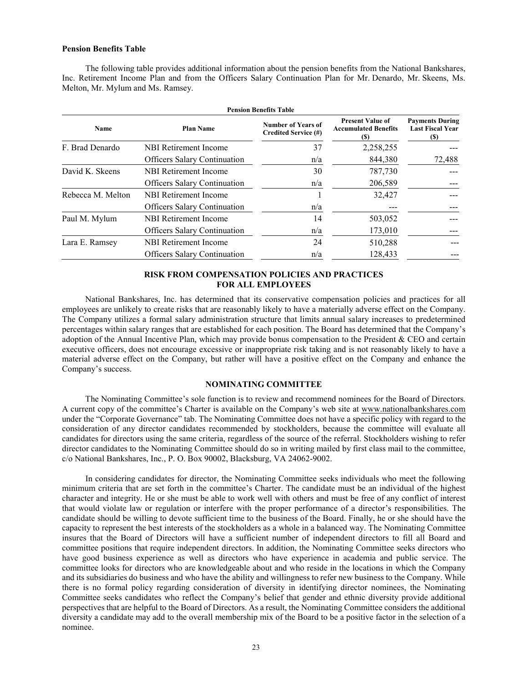# **Pension Benefits Table**

The following table provides additional information about the pension benefits from the National Bankshares, Inc. Retirement Income Plan and from the Officers Salary Continuation Plan for Mr. Denardo, Mr. Skeens, Ms. Melton, Mr. Mylum and Ms. Ramsey.

| <b>Pension Benefits Table</b> |                                     |                                                   |                                                               |                                                           |  |  |  |
|-------------------------------|-------------------------------------|---------------------------------------------------|---------------------------------------------------------------|-----------------------------------------------------------|--|--|--|
| Name                          | <b>Plan Name</b>                    | <b>Number of Years of</b><br>Credited Service (#) | <b>Present Value of</b><br><b>Accumulated Benefits</b><br>(S) | <b>Payments During</b><br><b>Last Fiscal Year</b><br>(\$) |  |  |  |
| F. Brad Denardo               | NBI Retirement Income               | 37                                                | 2,258,255                                                     |                                                           |  |  |  |
|                               | <b>Officers Salary Continuation</b> | n/a                                               | 844,380                                                       | 72,488                                                    |  |  |  |
| David K. Skeens               | NBI Retirement Income               | 30                                                | 787,730                                                       |                                                           |  |  |  |
|                               | <b>Officers Salary Continuation</b> | n/a                                               | 206,589                                                       |                                                           |  |  |  |
| Rebecca M. Melton             | NBI Retirement Income               |                                                   | 32,427                                                        |                                                           |  |  |  |
|                               | <b>Officers Salary Continuation</b> | n/a                                               |                                                               |                                                           |  |  |  |
| Paul M. Mylum                 | NBI Retirement Income               | 14                                                | 503,052                                                       |                                                           |  |  |  |
|                               | <b>Officers Salary Continuation</b> | n/a                                               | 173,010                                                       |                                                           |  |  |  |
| Lara E. Ramsey                | NBI Retirement Income               | 24                                                | 510,288                                                       |                                                           |  |  |  |
|                               | <b>Officers Salary Continuation</b> | n/a                                               | 128,433                                                       |                                                           |  |  |  |

# **RISK FROM COMPENSATION POLICIES AND PRACTICES FOR ALL EMPLOYEES**

National Bankshares, Inc. has determined that its conservative compensation policies and practices for all employees are unlikely to create risks that are reasonably likely to have a materially adverse effect on the Company. The Company utilizes a formal salary administration structure that limits annual salary increases to predetermined percentages within salary ranges that are established for each position. The Board has determined that the Company's adoption of the Annual Incentive Plan, which may provide bonus compensation to the President & CEO and certain executive officers, does not encourage excessive or inappropriate risk taking and is not reasonably likely to have a material adverse effect on the Company, but rather will have a positive effect on the Company and enhance the Company's success.

# **NOMINATING COMMITTEE**

The Nominating Committee's sole function is to review and recommend nominees for the Board of Directors. A current copy of the committee's Charter is available on the Company's web site at [www.nationalbankshares.com](http://www.nationalbankshares.com/) under the "Corporate Governance" tab. The Nominating Committee does not have a specific policy with regard to the consideration of any director candidates recommended by stockholders, because the committee will evaluate all candidates for directors using the same criteria, regardless of the source of the referral. Stockholders wishing to refer director candidates to the Nominating Committee should do so in writing mailed by first class mail to the committee, c/o National Bankshares, Inc., P. O. Box 90002, Blacksburg, VA 24062-9002.

In considering candidates for director, the Nominating Committee seeks individuals who meet the following minimum criteria that are set forth in the committee's Charter. The candidate must be an individual of the highest character and integrity. He or she must be able to work well with others and must be free of any conflict of interest that would violate law or regulation or interfere with the proper performance of a director's responsibilities. The candidate should be willing to devote sufficient time to the business of the Board. Finally, he or she should have the capacity to represent the best interests of the stockholders as a whole in a balanced way. The Nominating Committee insures that the Board of Directors will have a sufficient number of independent directors to fill all Board and committee positions that require independent directors. In addition, the Nominating Committee seeks directors who have good business experience as well as directors who have experience in academia and public service. The committee looks for directors who are knowledgeable about and who reside in the locations in which the Company and its subsidiaries do business and who have the ability and willingness to refer new business to the Company. While there is no formal policy regarding consideration of diversity in identifying director nominees, the Nominating Committee seeks candidates who reflect the Company's belief that gender and ethnic diversity provide additional perspectives that are helpful to the Board of Directors. As a result, the Nominating Committee considers the additional diversity a candidate may add to the overall membership mix of the Board to be a positive factor in the selection of a nominee.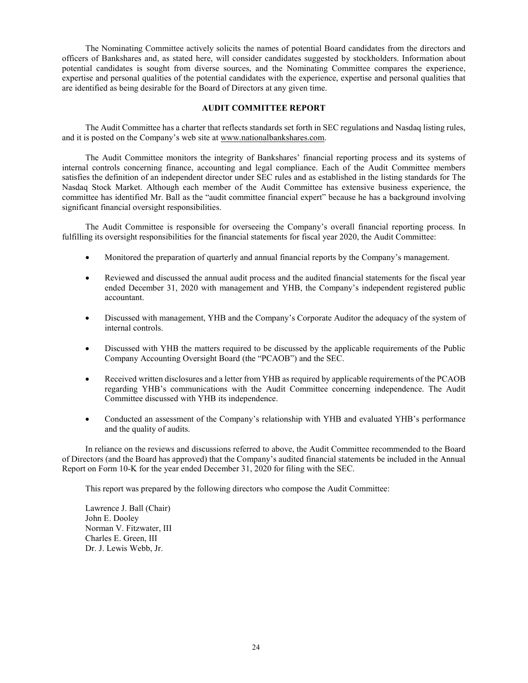The Nominating Committee actively solicits the names of potential Board candidates from the directors and officers of Bankshares and, as stated here, will consider candidates suggested by stockholders. Information about potential candidates is sought from diverse sources, and the Nominating Committee compares the experience, expertise and personal qualities of the potential candidates with the experience, expertise and personal qualities that are identified as being desirable for the Board of Directors at any given time.

# **AUDIT COMMITTEE REPORT**

The Audit Committee has a charter that reflects standards set forth in SEC regulations and Nasdaq listing rules, and it is posted on the Company's web site at [www.nationalbankshares.com.](http://www.nationalbankshares.com/) 

The Audit Committee monitors the integrity of Bankshares' financial reporting process and its systems of internal controls concerning finance, accounting and legal compliance. Each of the Audit Committee members satisfies the definition of an independent director under SEC rules and as established in the listing standards for The Nasdaq Stock Market. Although each member of the Audit Committee has extensive business experience, the committee has identified Mr. Ball as the "audit committee financial expert" because he has a background involving significant financial oversight responsibilities.

The Audit Committee is responsible for overseeing the Company's overall financial reporting process. In fulfilling its oversight responsibilities for the financial statements for fiscal year 2020, the Audit Committee:

- Monitored the preparation of quarterly and annual financial reports by the Company's management.
- Reviewed and discussed the annual audit process and the audited financial statements for the fiscal year ended December 31, 2020 with management and YHB, the Company's independent registered public accountant.
- Discussed with management, YHB and the Company's Corporate Auditor the adequacy of the system of internal controls.
- Discussed with YHB the matters required to be discussed by the applicable requirements of the Public Company Accounting Oversight Board (the "PCAOB") and the SEC.
- Received written disclosures and a letter from YHB as required by applicable requirements of the PCAOB regarding YHB's communications with the Audit Committee concerning independence. The Audit Committee discussed with YHB its independence.
- Conducted an assessment of the Company's relationship with YHB and evaluated YHB's performance and the quality of audits.

In reliance on the reviews and discussions referred to above, the Audit Committee recommended to the Board of Directors (and the Board has approved) that the Company's audited financial statements be included in the Annual Report on Form 10-K for the year ended December 31, 2020 for filing with the SEC.

This report was prepared by the following directors who compose the Audit Committee:

Lawrence J. Ball (Chair) John E. Dooley Norman V. Fitzwater, III Charles E. Green, III Dr. J. Lewis Webb, Jr.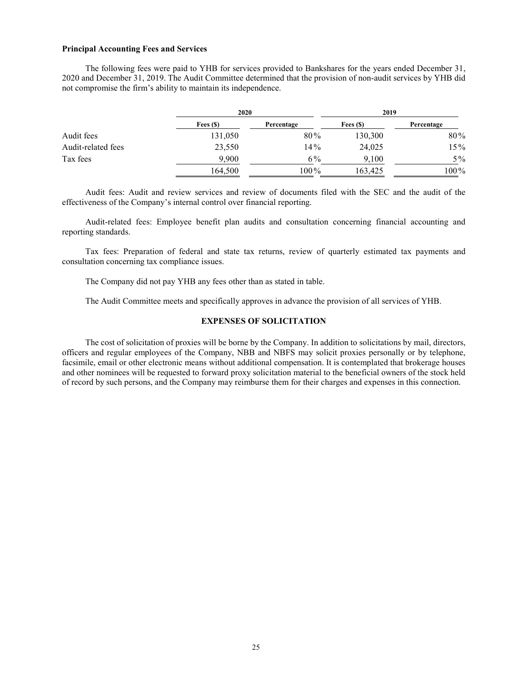# **Principal Accounting Fees and Services**

The following fees were paid to YHB for services provided to Bankshares for the years ended December 31, 2020 and December 31, 2019. The Audit Committee determined that the provision of non-audit services by YHB did not compromise the firm's ability to maintain its independence.

|                    | 2020       |            | 2019       |            |
|--------------------|------------|------------|------------|------------|
|                    | Fees $(S)$ | Percentage | Fees $(S)$ | Percentage |
| Audit fees         | 131,050    | 80%        | 130,300    | 80%        |
| Audit-related fees | 23,550     | 14%        | 24,025     | 15%        |
| Tax fees           | 9,900      | 6%         | 9,100      | $5\%$      |
|                    | 164,500    | 100%       | 163,425    | 100%       |

Audit fees: Audit and review services and review of documents filed with the SEC and the audit of the effectiveness of the Company's internal control over financial reporting.

Audit-related fees: Employee benefit plan audits and consultation concerning financial accounting and reporting standards.

Tax fees: Preparation of federal and state tax returns, review of quarterly estimated tax payments and consultation concerning tax compliance issues.

The Company did not pay YHB any fees other than as stated in table.

The Audit Committee meets and specifically approves in advance the provision of all services of YHB.

# **EXPENSES OF SOLICITATION**

The cost of solicitation of proxies will be borne by the Company. In addition to solicitations by mail, directors, officers and regular employees of the Company, NBB and NBFS may solicit proxies personally or by telephone, facsimile, email or other electronic means without additional compensation. It is contemplated that brokerage houses and other nominees will be requested to forward proxy solicitation material to the beneficial owners of the stock held of record by such persons, and the Company may reimburse them for their charges and expenses in this connection.